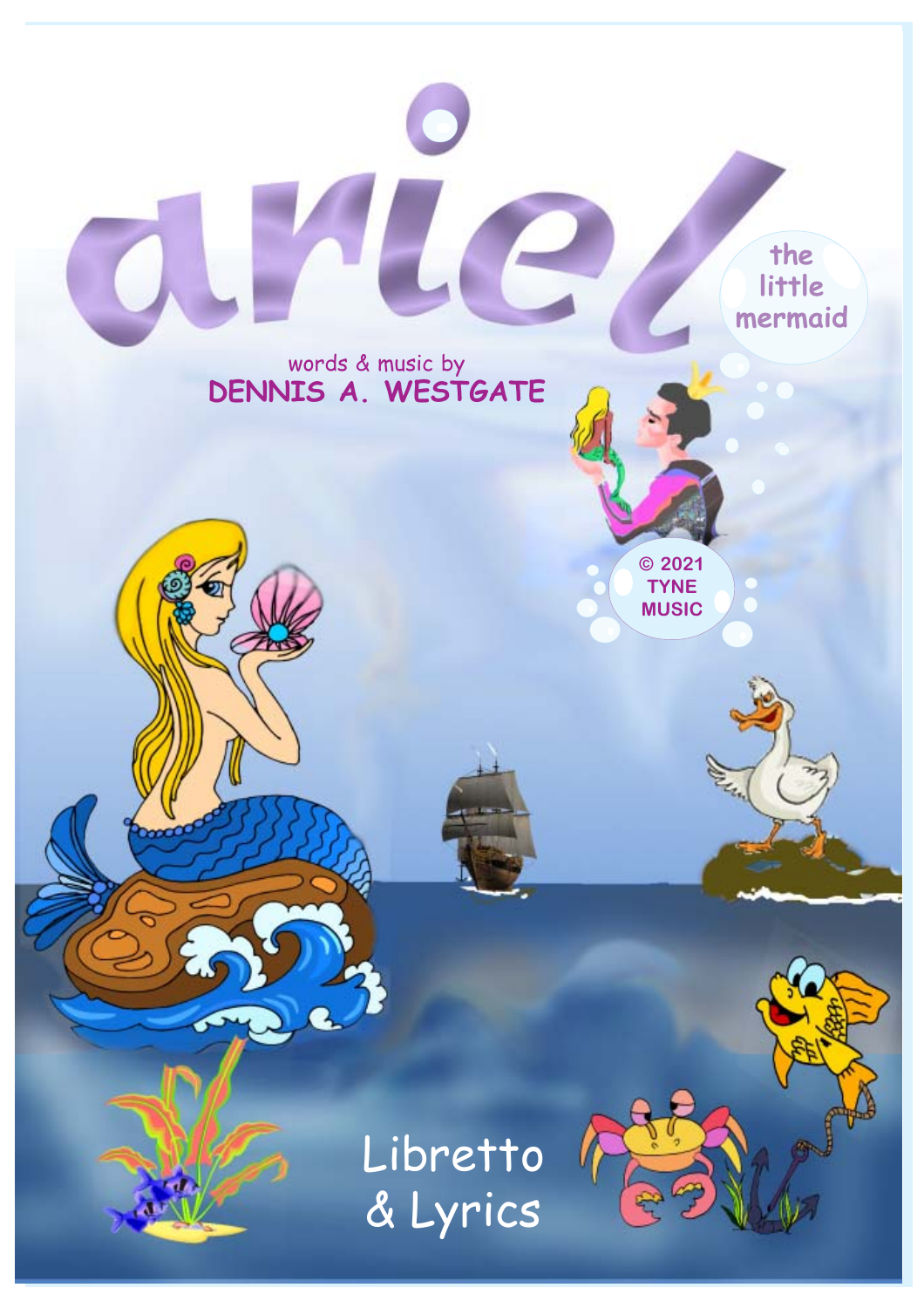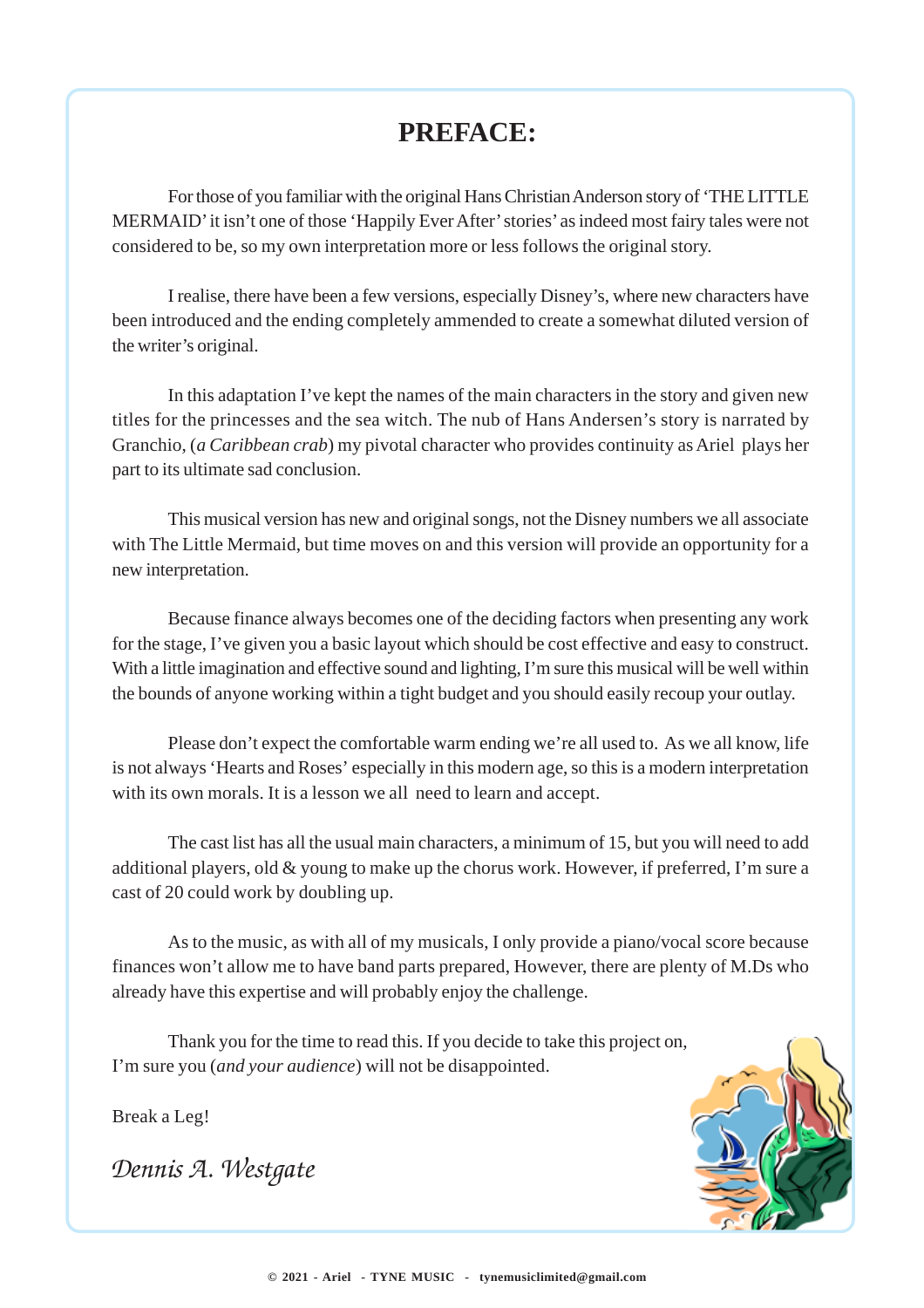### **PREFACE:**

For those of you familiar with the original Hans Christian Anderson story of 'THE LITTLE MERMAID' it isn't one of those 'Happily Ever After' stories' as indeed most fairy tales were not considered to be, so my own interpretation more or less follows the original story.

I realise, there have been a few versions, especially Disney's, where new characters have been introduced and the ending completely ammended to create a somewhat diluted version of the writer's original.

In this adaptation I've kept the names of the main characters in the story and given new titles for the princesses and the sea witch. The nub of Hans Andersen's story is narrated by Granchio, (*a Caribbean crab*) my pivotal character who provides continuity as Ariel plays her part to its ultimate sad conclusion.

This musical version has new and original songs, not the Disney numbers we all associate with The Little Mermaid, but time moves on and this version will provide an opportunity for a new interpretation.

Because finance always becomes one of the deciding factors when presenting any work for the stage, I've given you a basic layout which should be cost effective and easy to construct. With a little imagination and effective sound and lighting, I'm sure this musical will be well within the bounds of anyone working within a tight budget and you should easily recoup your outlay.

Please don't expect the comfortable warm ending we're all used to. As we all know, life is not always 'Hearts and Roses' especially in this modern age, so this is a modern interpretation with its own morals. It is a lesson we all need to learn and accept.

The cast list has all the usual main characters, a minimum of 15, but you will need to add additional players, old & young to make up the chorus work. However, if preferred, I'm sure a cast of 20 could work by doubling up.

As to the music, as with all of my musicals, I only provide a piano/vocal score because finances won't allow me to have band parts prepared, However, there are plenty of M.Ds who already have this expertise and will probably enjoy the challenge.

Thank you for the time to read this. If you decide to take this project on, I'm sure you (*and your audience*) will not be disappointed.

Break a Leg!

*Dennis A. Westgate*

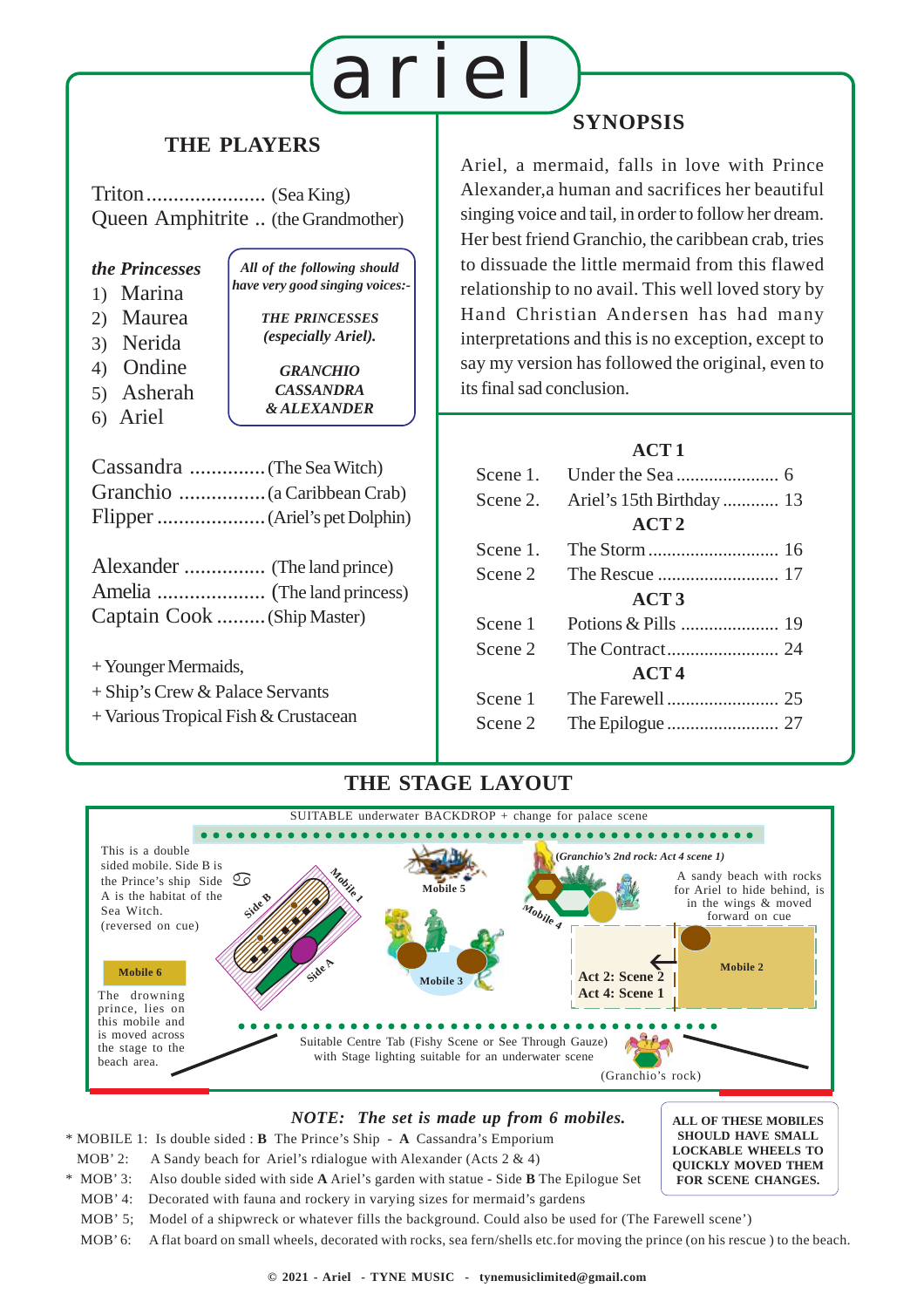# ariel

### **THE PLAYERS**

Triton...................... (Sea King) Queen Amphitrite .. (the Grandmother)

#### *the Princesses*

- 1) Marina
- 2) Maurea
- 3) Nerida
- 4) Ondine
- 5) Asherah
- 6) Ariel

*THE PRINCESSES (especially Ariel). GRANCHIO CASSANDRA & ALEXANDER*

*All of the following should have very good singing voices:-*

Cassandra ..............(The Sea Witch) Granchio ................(a Caribbean Crab) Flipper....................(Ariel's pet Dolphin)

| Captain Cook  (Ship Master) |  |
|-----------------------------|--|

- + Younger Mermaids,
- + Ship's Crew & Palace Servants
- + Various Tropical Fish & Crustacean

### **SYNOPSIS**

Ariel, a mermaid, falls in love with Prince Alexander,a human and sacrifices her beautiful singing voice and tail, in order to follow her dream. Her best friend Granchio, the caribbean crab, tries to dissuade the little mermaid from this flawed relationship to no avail. This well loved story by Hand Christian Andersen has had many interpretations and this is no exception, except to say my version has followed the original, even to its final sad conclusion.

#### **ACT 1**

| Scene 1.         |  |  |  |
|------------------|--|--|--|
| Scene 2.         |  |  |  |
| ACT <sub>2</sub> |  |  |  |
| Scene 1.         |  |  |  |
| Scene 2          |  |  |  |
| ACT3             |  |  |  |
| Scene 1          |  |  |  |
| Scene 2          |  |  |  |
| ACT4             |  |  |  |
| Scene 1          |  |  |  |
| Scene 2          |  |  |  |
|                  |  |  |  |

#### ○○○○○○○ ○○○○○○○○○○○○○○○○○○○○○○○○○ ○○○○○○○○○○○○○○○○○○○○ (Granchio's rock) A sandy beach with rocks for Ariel to hide behind, is in the wings & moved forward on cue SUITABLE underwater BACKDROP + change for palace scene Suitable Centre Tab (Fishy Scene or See Through Gauze) with Stage lighting suitable for an underwater scene **Mobile 4 Mobile 5** This is a double sided mobile. Side B is the Prince's ship Side A is the habitat of the Sea Witch. (reversed on cue)  $He$  So  $10$ Mobile 6 **March 19 Mobile 2 Mobile 2 Mobile 2 Mobile 2 Mobile 2** The drowning prince, lies on this mobile and is moved across the stage to the beach area. **Mobile 3** 12345678901234567890123456789 12345678901234567890123456789 12345678901234567890123456789 12345678901234567890123456789 12345678901234567890123456789 12345678901234567890123456789 12345678901234567890123456789 12345678901234567890123456789 12345678901234567890123456789 12345678901234567890123456789 123456789012345678901234567890123456789012345678901234567890123456789012345678901 123456789012345678901234578901234567890123457890123457890123457890123457890123457890123457890123457890123457890 12345678901234567890123456789 12345678901234567890123456789 12345678901234567890123456789 12345678901234567**8** 12345678901234567890123456789012345678901234567890123456789012345678901234567890123456789012345678901234567890123456 12345678901234567890123456789012345678901234567890123456789012345678901234567890123456789012345678901234567890 12345678901234567890123456789 1234*678901* 1234 September 1234 September 1234 September 1234 September 1234 September 1235 September 1235 September 1235 12345678901234567890 12345678901234567890 12345678901234567890 12345678901234567890 12345678901234567890 12345678901234567890 12345678901234567890 12345678901234567890 1234 The Contract of the Contract of the Contract of the Contract of the Contract of the Contract of the Contract of the Contract of the Contract of the Contract of the Contract of the Contract of the Contract of the Contr 12345678901234567890 12345678901234567890 12345678901234567890 123*4567890*123457890 12345678901234567890123456789012345678901234567890123456789012345678901234567890 12345678901234567890 **Mobile 1 Side A Side B (***Granchio's 2nd rock: Act 4 scene 1)* **Act 2: Scene 2 Act 4: Scene 1**

**THE STAGE LAYOUT**

#### *NOTE: The set is made up from 6 mobiles.*

\* MOBILE 1: Is double sided : **B** The Prince's Ship - **A** Cassandra's Emporium

- MOB' 2: A Sandy beach for Ariel's rdialogue with Alexander (Acts 2 & 4)
- \* MOB' 3: Also double sided with side **A** Ariel's garden with statue Side **B** The Epilogue Set
- MOB' 4: Decorated with fauna and rockery in varying sizes for mermaid's gardens **QUICKLY MOVED THEM FOR SCENE CHANGES.**

**ALL OF THESE MOBILES SHOULD HAVE SMALL LOCKABLE WHEELS TO**

- MOB' 5; Model of a shipwreck or whatever fills the background. Could also be used for (The Farewell scene')
- MOB' 6: A flat board on small wheels, decorated with rocks, sea fern/shells etc.for moving the prince (on his rescue ) to the beach.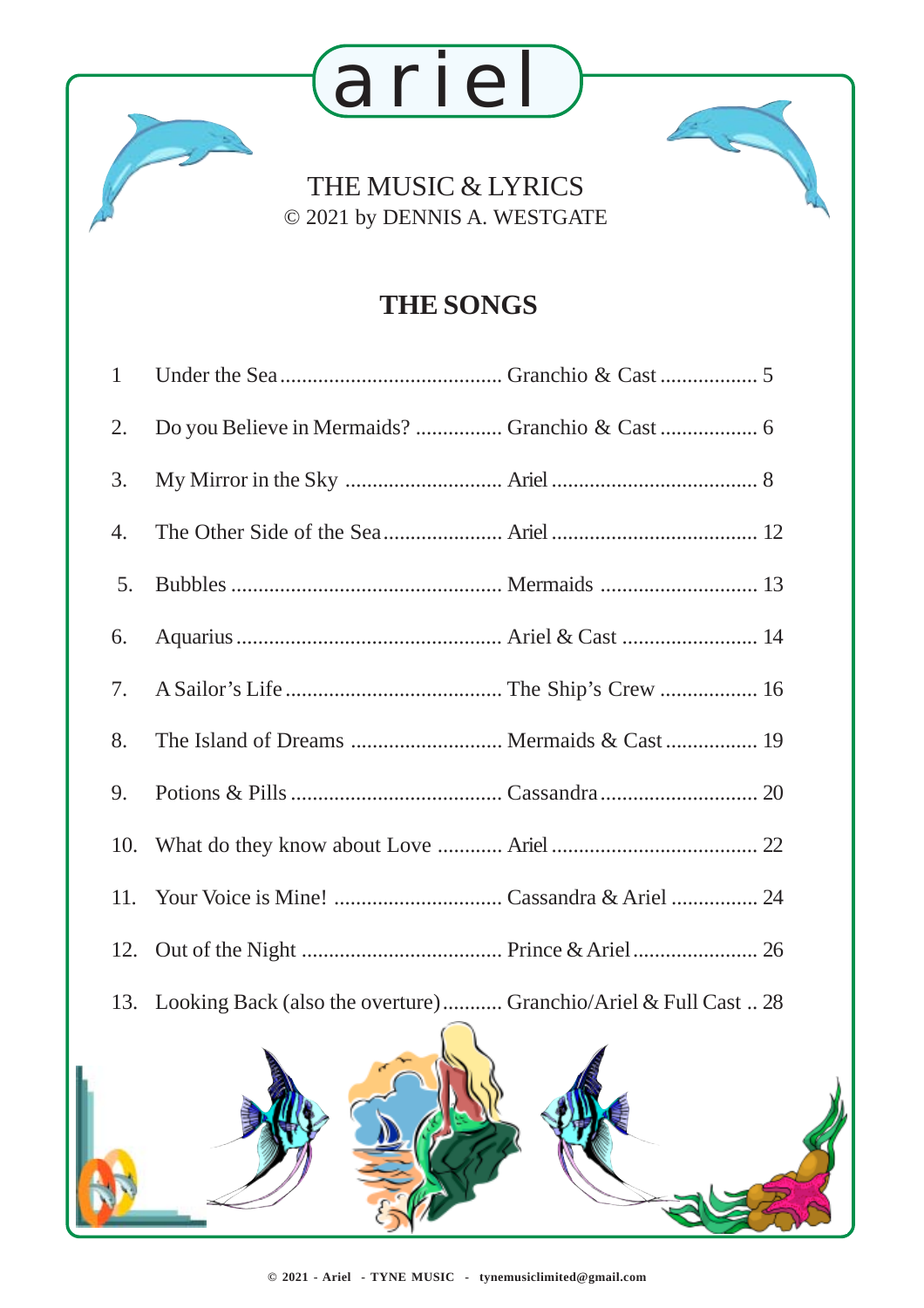### THE MUSIC & LYRICS © 2021 by DENNIS A. WESTGATE

ariel

### **THE SONGS**

| $\mathbf{1}$ |                                                                     |  |
|--------------|---------------------------------------------------------------------|--|
| 2.           | Do you Believe in Mermaids?  Granchio & Cast  6                     |  |
| 3.           |                                                                     |  |
| 4.           |                                                                     |  |
| 5.           |                                                                     |  |
| 6.           |                                                                     |  |
| 7.           |                                                                     |  |
| 8.           |                                                                     |  |
| 9.           |                                                                     |  |
| 10.          |                                                                     |  |
| 11.          |                                                                     |  |
|              |                                                                     |  |
|              | 13. Looking Back (also the overture) Granchio/Ariel & Full Cast  28 |  |
|              |                                                                     |  |

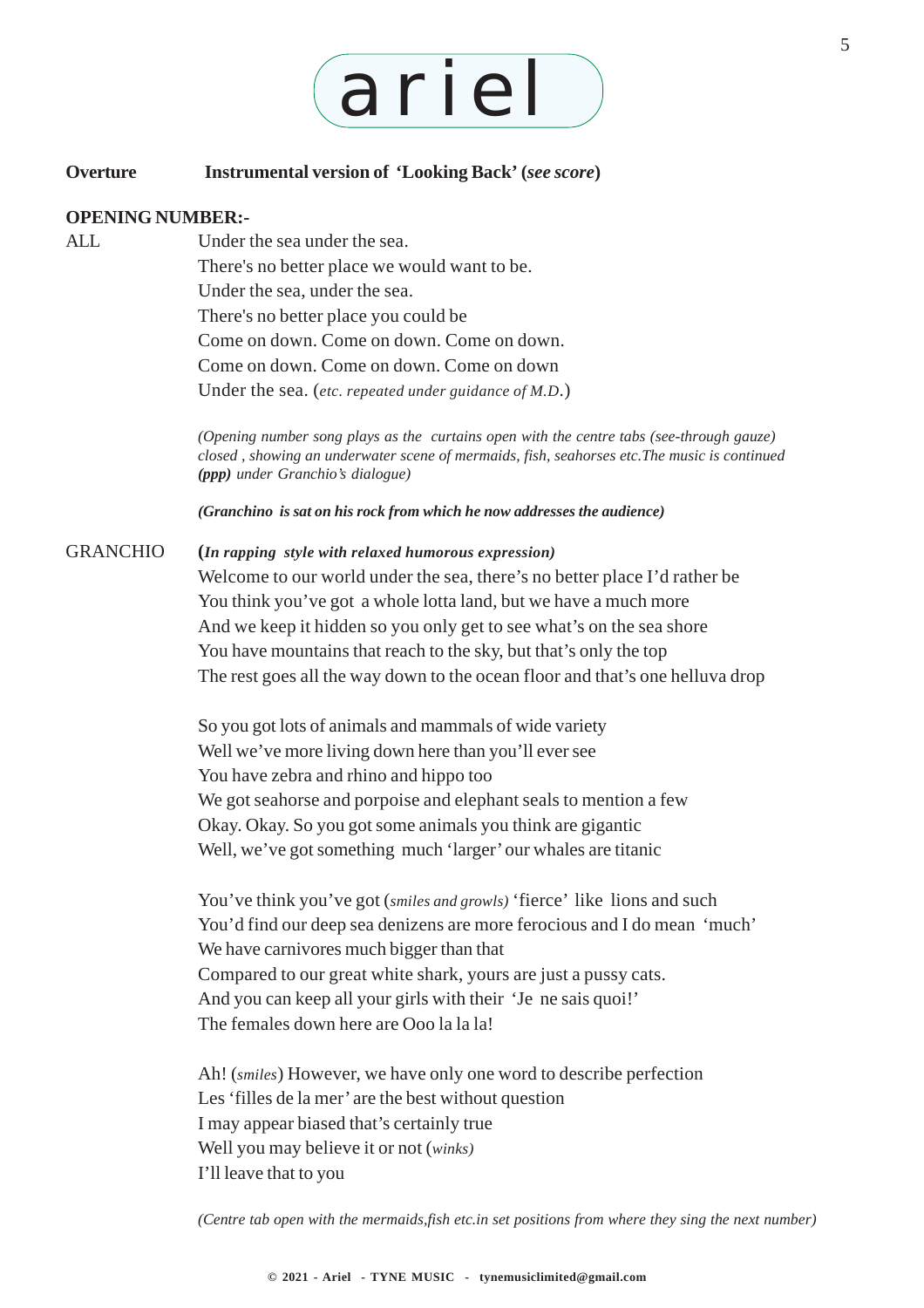# ariel

#### **Overture Instrumental version of 'Looking Back' (***see score***)**

#### **OPENING NUMBER:-**

ALL Under the sea under the sea. There's no better place we would want to be. Under the sea, under the sea. There's no better place you could be Come on down. Come on down. Come on down. Come on down. Come on down. Come on down Under the sea. (*etc. repeated under guidance of M.D*.)

> *(Opening number song plays as the curtains open with the centre tabs (see-through gauze) closed , showing an underwater scene of mermaids, fish, seahorses etc.The music is continued (ppp) under Granchio's dialogue)*

*(Granchino is sat on his rock from which he now addresses the audience)*

#### GRANCHIO **(***In rapping style with relaxed humorous expression)*

Welcome to our world under the sea, there's no better place I'd rather be You think you've got a whole lotta land, but we have a much more And we keep it hidden so you only get to see what's on the sea shore You have mountains that reach to the sky, but that's only the top The rest goes all the way down to the ocean floor and that's one helluva drop

So you got lots of animals and mammals of wide variety Well we've more living down here than you'll ever see You have zebra and rhino and hippo too We got seahorse and porpoise and elephant seals to mention a few Okay. Okay. So you got some animals you think are gigantic Well, we've got something much 'larger' our whales are titanic

You've think you've got (*smiles and growls*) 'fierce' like lions and such You'd find our deep sea denizens are more ferocious and I do mean 'much' We have carnivores much bigger than that Compared to our great white shark, yours are just a pussy cats. And you can keep all your girls with their 'Je ne sais quoi!' The females down here are Ooo la la la!

Ah! (*smiles*) However, we have only one word to describe perfection Les 'filles de la mer' are the best without question I may appear biased that's certainly true Well you may believe it or not (*winks)* I'll leave that to you

*(Centre tab open with the mermaids,fish etc.in set positions from where they sing the next number)*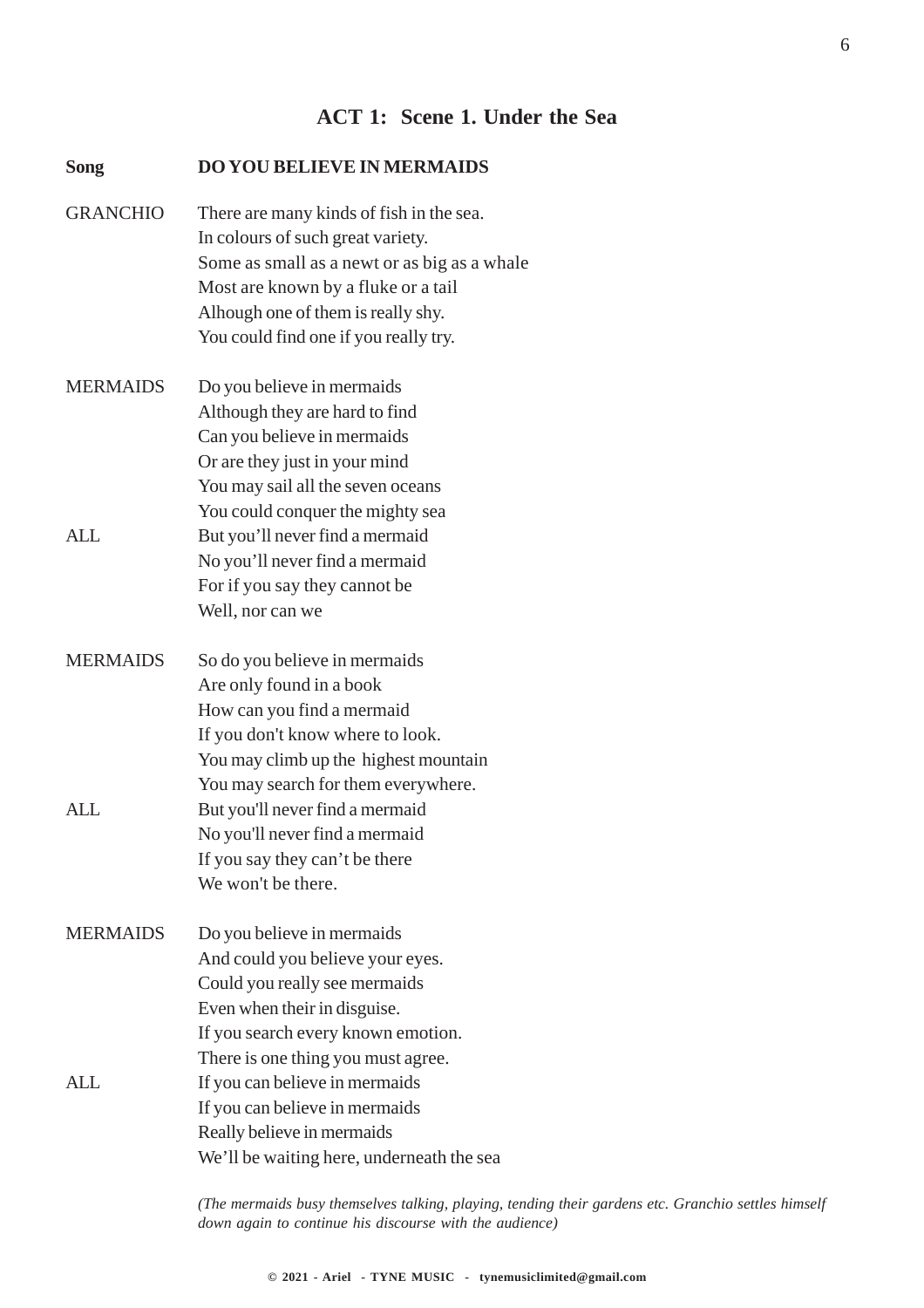#### **ACT 1: Scene 1. Under the Sea**

| <b>Song</b>     | <b>DO YOU BELIEVE IN MERMAIDS</b>                                                                                                                                                                                                                   |
|-----------------|-----------------------------------------------------------------------------------------------------------------------------------------------------------------------------------------------------------------------------------------------------|
| <b>GRANCHIO</b> | There are many kinds of fish in the sea.<br>In colours of such great variety.<br>Some as small as a newt or as big as a whale<br>Most are known by a fluke or a tail<br>Alhough one of them is really shy.<br>You could find one if you really try. |
| <b>MERMAIDS</b> | Do you believe in mermaids<br>Although they are hard to find<br>Can you believe in mermaids<br>Or are they just in your mind<br>You may sail all the seven oceans<br>You could conquer the mighty sea                                               |
| <b>ALL</b>      | But you'll never find a mermaid<br>No you'll never find a mermaid<br>For if you say they cannot be<br>Well, nor can we                                                                                                                              |
| <b>MERMAIDS</b> | So do you believe in mermaids<br>Are only found in a book<br>How can you find a mermaid<br>If you don't know where to look.<br>You may climb up the highest mountain<br>You may search for them everywhere.                                         |
| ALL             | But you'll never find a mermaid<br>No you'll never find a mermaid<br>If you say they can't be there<br>We won't be there.                                                                                                                           |
| <b>MERMAIDS</b> | Do you believe in mermaids<br>And could you believe your eyes.<br>Could you really see mermaids<br>Even when their in disguise.<br>If you search every known emotion.                                                                               |
| ALL             | There is one thing you must agree.<br>If you can believe in mermaids<br>If you can believe in mermaids<br>Really believe in mermaids<br>We'll be waiting here, underneath the sea                                                                   |

*(The mermaids busy themselves talking, playing, tending their gardens etc. Granchio settles himself down again to continue his discourse with the audience)*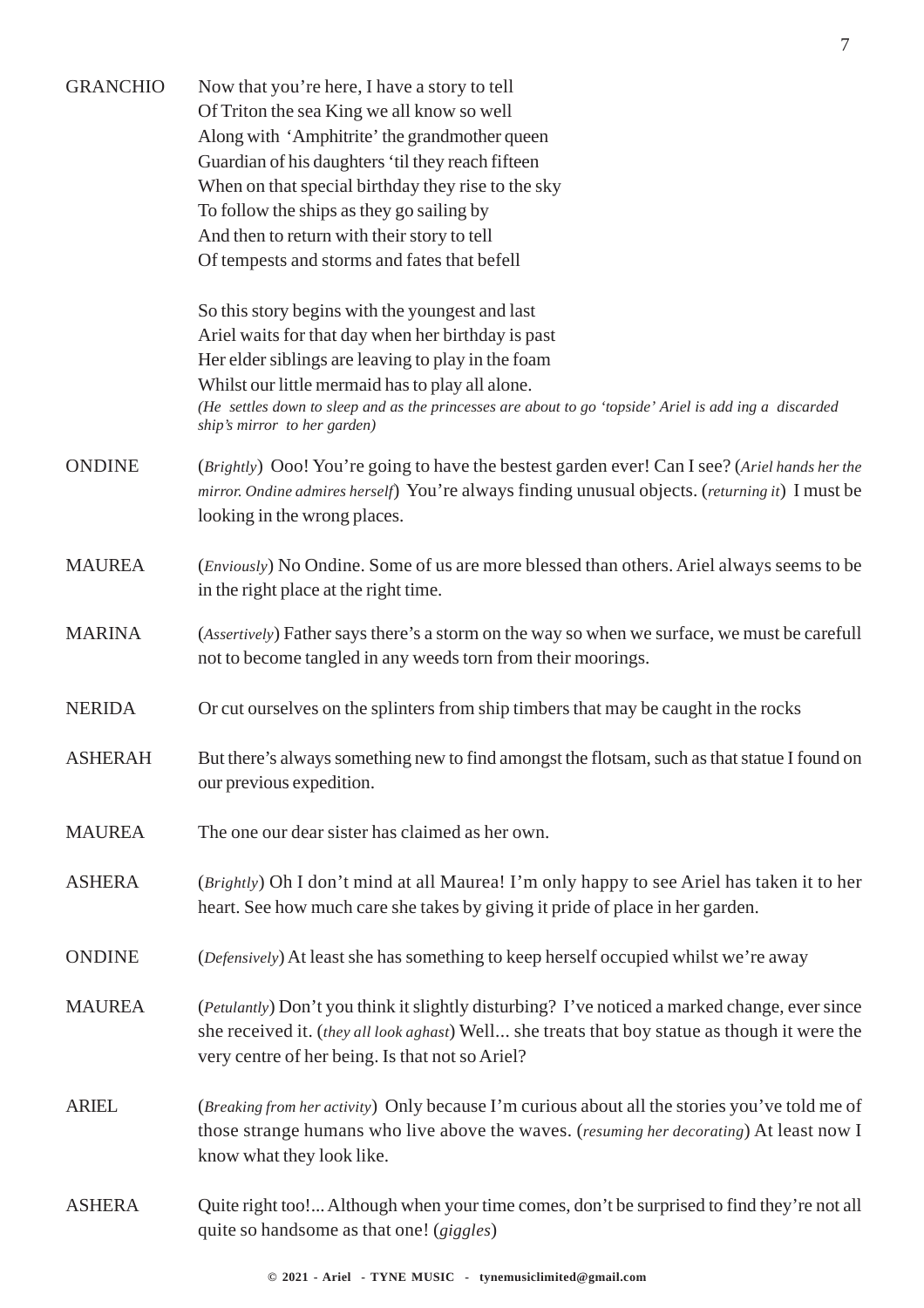| <b>GRANCHIO</b> | Now that you're here, I have a story to tell<br>Of Triton the sea King we all know so well<br>Along with 'Amphitrite' the grandmother queen<br>Guardian of his daughters 'til they reach fifteen<br>When on that special birthday they rise to the sky<br>To follow the ships as they go sailing by<br>And then to return with their story to tell<br>Of tempests and storms and fates that befell |
|-----------------|----------------------------------------------------------------------------------------------------------------------------------------------------------------------------------------------------------------------------------------------------------------------------------------------------------------------------------------------------------------------------------------------------|
|                 | So this story begins with the youngest and last<br>Ariel waits for that day when her birthday is past<br>Her elder siblings are leaving to play in the foam<br>Whilst our little mermaid has to play all alone.<br>(He settles down to sleep and as the princesses are about to go 'topside' Ariel is add ing a discarded<br>ship's mirror to her garden)                                          |
| <b>ONDINE</b>   | (Brightly) Ooo! You're going to have the bestest garden ever! Can I see? (Ariel hands her the<br>mirror. Ondine admires herself) You're always finding unusual objects. (returning it) I must be<br>looking in the wrong places.                                                                                                                                                                   |
| <b>MAUREA</b>   | ( <i>Enviously</i> ) No Ondine. Some of us are more blessed than others. Ariel always seems to be<br>in the right place at the right time.                                                                                                                                                                                                                                                         |
| <b>MARINA</b>   | (Assertively) Father says there's a storm on the way so when we surface, we must be carefull<br>not to become tangled in any weeds torn from their moorings.                                                                                                                                                                                                                                       |
| <b>NERIDA</b>   | Or cut ourselves on the splinters from ship timbers that may be caught in the rocks                                                                                                                                                                                                                                                                                                                |
| <b>ASHERAH</b>  | But there's always something new to find amongst the flotsam, such as that statue I found on<br>our previous expedition.                                                                                                                                                                                                                                                                           |
| <b>MAUREA</b>   | The one our dear sister has claimed as her own.                                                                                                                                                                                                                                                                                                                                                    |
| <b>ASHERA</b>   | (Brightly) Oh I don't mind at all Maurea! I'm only happy to see Ariel has taken it to her<br>heart. See how much care she takes by giving it pride of place in her garden.                                                                                                                                                                                                                         |
| <b>ONDINE</b>   | (Defensively) At least she has something to keep herself occupied whilst we're away                                                                                                                                                                                                                                                                                                                |
| <b>MAUREA</b>   | (Petulantly) Don't you think it slightly disturbing? I've noticed a marked change, ever since<br>she received it. (they all look aghast) Well she treats that boy statue as though it were the<br>very centre of her being. Is that not so Ariel?                                                                                                                                                  |
| <b>ARIEL</b>    | (Breaking from her activity) Only because I'm curious about all the stories you've told me of<br>those strange humans who live above the waves. (resuming her decorating) At least now I<br>know what they look like.                                                                                                                                                                              |
| <b>ASHERA</b>   | Quite right too! Although when your time comes, don't be surprised to find they're not all<br>quite so handsome as that one! (giggles)                                                                                                                                                                                                                                                             |

7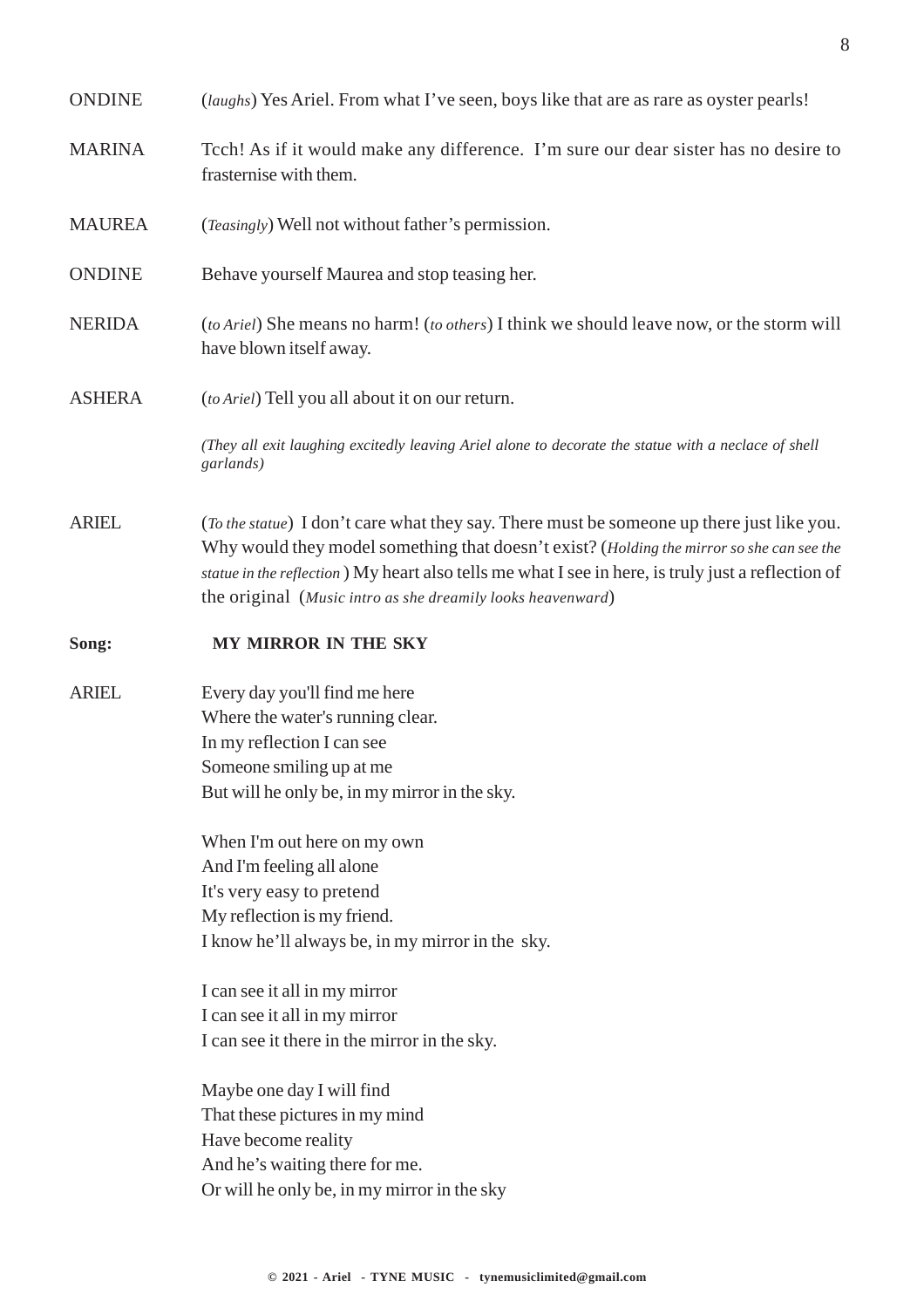| <b>ONDINE</b> | ( <i>laughs</i> ) Yes Ariel. From what I've seen, boys like that are as rare as oyster pearls!                                                                                                                                                                                                                                                              |
|---------------|-------------------------------------------------------------------------------------------------------------------------------------------------------------------------------------------------------------------------------------------------------------------------------------------------------------------------------------------------------------|
| <b>MARINA</b> | To ch! As if it would make any difference. I'm sure our dear sister has no desire to<br>frasternise with them.                                                                                                                                                                                                                                              |
| <b>MAUREA</b> | (Teasingly) Well not without father's permission.                                                                                                                                                                                                                                                                                                           |
| <b>ONDINE</b> | Behave yourself Maurea and stop teasing her.                                                                                                                                                                                                                                                                                                                |
| <b>NERIDA</b> | (to Ariel) She means no harm! (to others) I think we should leave now, or the storm will<br>have blown itself away.                                                                                                                                                                                                                                         |
| <b>ASHERA</b> | (to Ariel) Tell you all about it on our return.                                                                                                                                                                                                                                                                                                             |
|               | (They all exit laughing excitedly leaving Ariel alone to decorate the statue with a neclace of shell<br>garlands)                                                                                                                                                                                                                                           |
| <b>ARIEL</b>  | (To the statue) I don't care what they say. There must be someone up there just like you.<br>Why would they model something that doesn't exist? (Holding the mirror so she can see the<br>statue in the reflection) My heart also tells me what I see in here, is truly just a reflection of<br>the original (Music intro as she dreamily looks heavenward) |
| Song:         | MY MIRROR IN THE SKY                                                                                                                                                                                                                                                                                                                                        |
| <b>ARIEL</b>  | Every day you'll find me here<br>Where the water's running clear.<br>In my reflection I can see<br>Someone smiling up at me<br>But will he only be, in my mirror in the sky.                                                                                                                                                                                |
|               | When I'm out here on my own<br>And I'm feeling all alone<br>It's very easy to pretend<br>My reflection is my friend.<br>I know he'll always be, in my mirror in the sky.                                                                                                                                                                                    |
|               |                                                                                                                                                                                                                                                                                                                                                             |
|               | I can see it all in my mirror<br>I can see it all in my mirror<br>I can see it there in the mirror in the sky.                                                                                                                                                                                                                                              |

8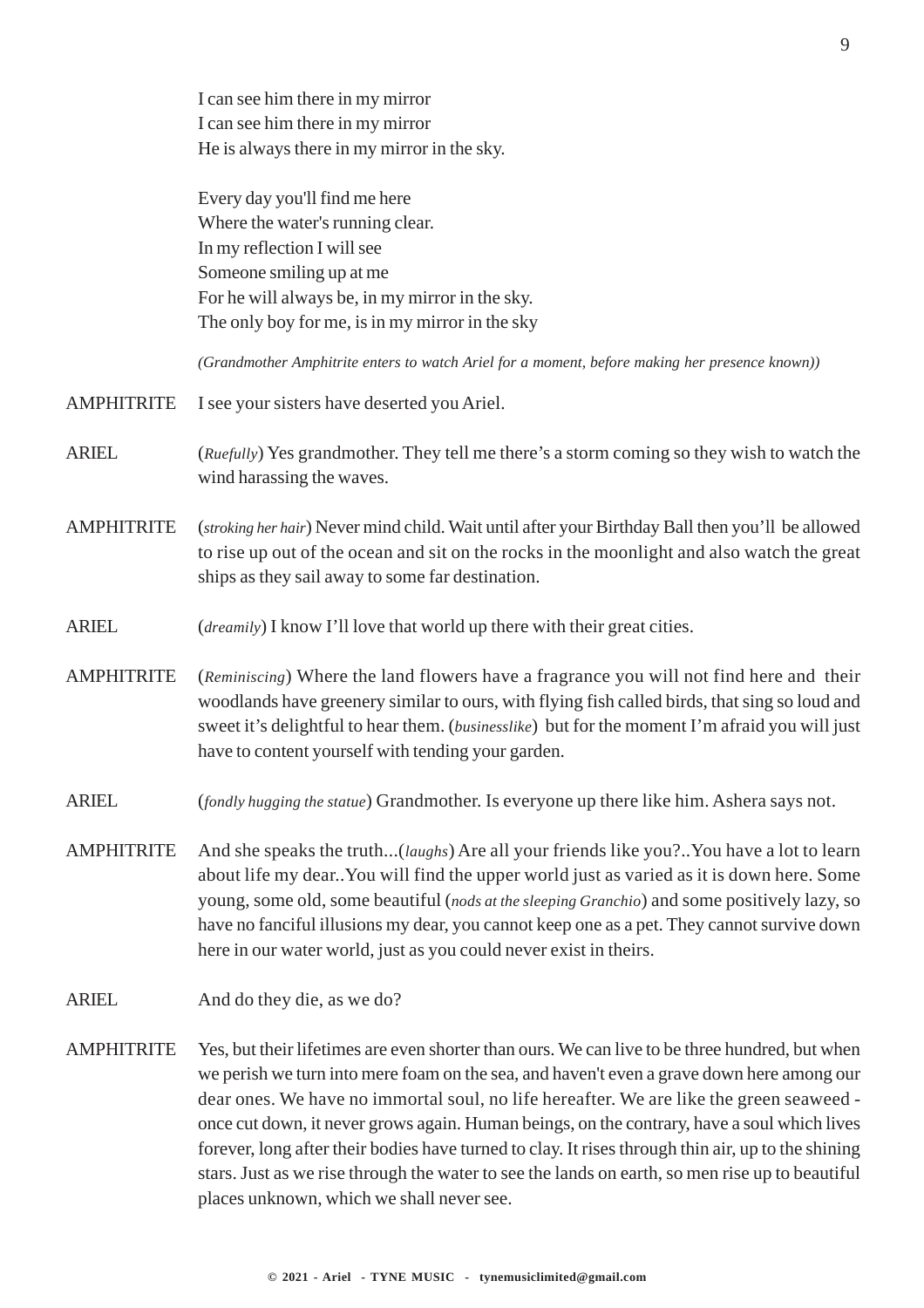I can see him there in my mirror I can see him there in my mirror He is always there in my mirror in the sky.

Every day you'll find me here Where the water's running clear. In my reflection I will see Someone smiling up at me For he will always be, in my mirror in the sky. The only boy for me, is in my mirror in the sky

*(Grandmother Amphitrite enters to watch Ariel for a moment, before making her presence known))*

- AMPHITRITE I see your sisters have deserted you Ariel.
- ARIEL (*Ruefully*) Yes grandmother. They tell me there's a storm coming so they wish to watch the wind harassing the waves.
- AMPHITRITE (*stroking her hair*) Never mind child. Wait until after your Birthday Ball then you'll be allowed to rise up out of the ocean and sit on the rocks in the moonlight and also watch the great ships as they sail away to some far destination.
- ARIEL (*dreamily*) I know I'll love that world up there with their great cities.
- AMPHITRITE (*Reminiscing*) Where the land flowers have a fragrance you will not find here and their woodlands have greenery similar to ours, with flying fish called birds, that sing so loud and sweet it's delightful to hear them. (*businesslike*) but for the moment I'm afraid you will just have to content yourself with tending your garden.
- ARIEL (*fondly hugging the statue*) Grandmother. Is everyone up there like him. Ashera says not.
- AMPHITRITE And she speaks the truth...(*laughs*) Are all your friends like you?..You have a lot to learn about life my dear..You will find the upper world just as varied as it is down here. Some young, some old, some beautiful (*nods at the sleeping Granchio*) and some positively lazy, so have no fanciful illusions my dear, you cannot keep one as a pet. They cannot survive down here in our water world, just as you could never exist in theirs.
- ARIEL And do they die, as we do?
- AMPHITRITE Yes, but their lifetimes are even shorter than ours. We can live to be three hundred, but when we perish we turn into mere foam on the sea, and haven't even a grave down here among our dear ones. We have no immortal soul, no life hereafter. We are like the green seaweed once cut down, it never grows again. Human beings, on the contrary, have a soul which lives forever, long after their bodies have turned to clay. It rises through thin air, up to the shining stars. Just as we rise through the water to see the lands on earth, so men rise up to beautiful places unknown, which we shall never see.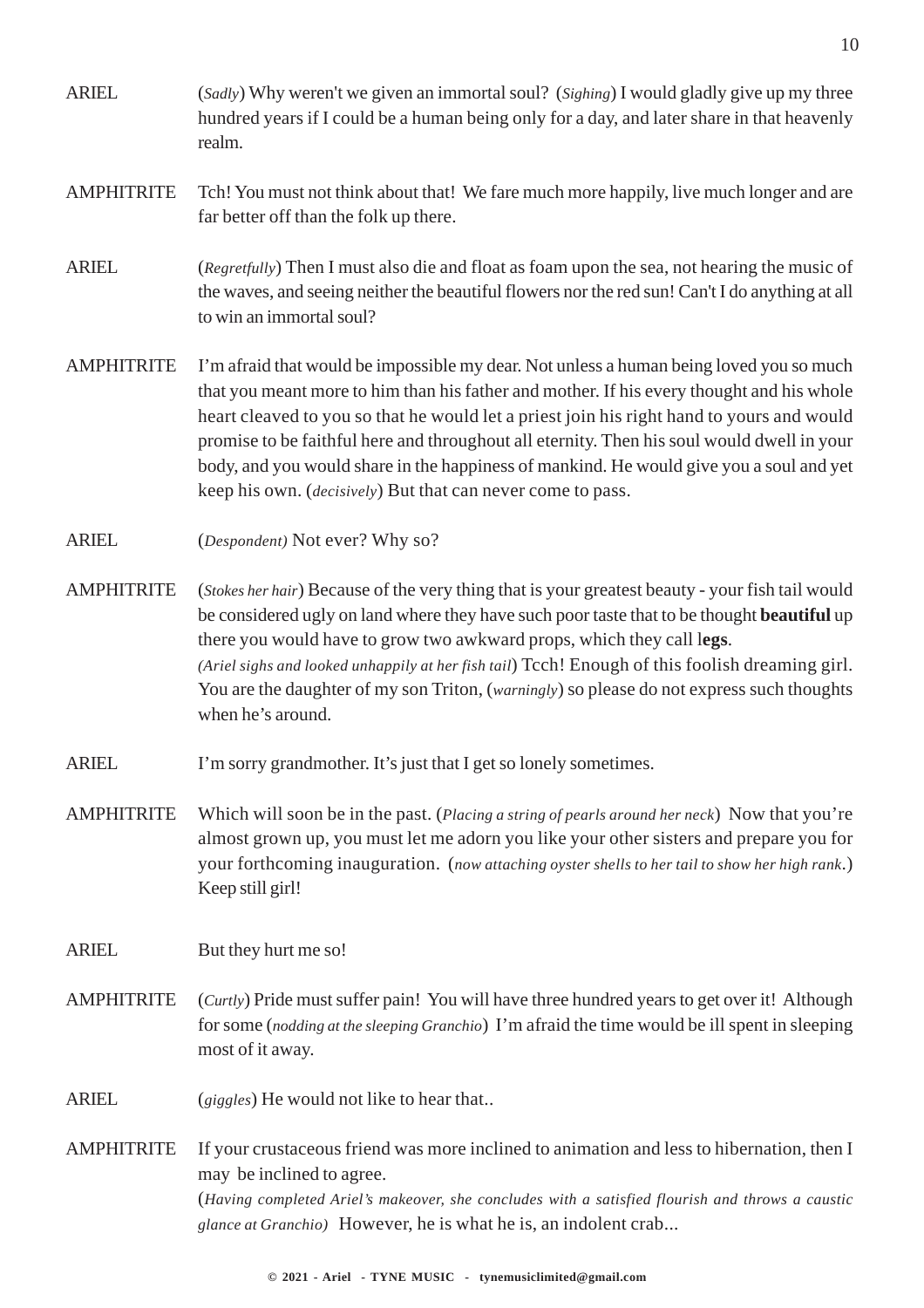- ARIEL (*Sadly*) Why weren't we given an immortal soul? (*Sighing*) I would gladly give up my three hundred years if I could be a human being only for a day, and later share in that heavenly realm.
- AMPHITRITE Tch! You must not think about that! We fare much more happily, live much longer and are far better off than the folk up there.
- ARIEL (*Regretfully*) Then I must also die and float as foam upon the sea, not hearing the music of the waves, and seeing neither the beautiful flowers nor the red sun! Can't I do anything at all to win an immortal soul?
- AMPHITRITE I'm afraid that would be impossible my dear. Not unless a human being loved you so much that you meant more to him than his father and mother. If his every thought and his whole heart cleaved to you so that he would let a priest join his right hand to yours and would promise to be faithful here and throughout all eternity. Then his soul would dwell in your body, and you would share in the happiness of mankind. He would give you a soul and yet keep his own. (*decisively*) But that can never come to pass.
- ARIEL (*Despondent)* Not ever? Why so?
- AMPHITRITE (*Stokes her hair*) Because of the very thing that is your greatest beauty your fish tail would be considered ugly on land where they have such poor taste that to be thought **beautiful** up there you would have to grow two awkward props, which they call l**egs**. *(Ariel sighs and looked unhappily at her fish tail*) Tcch! Enough of this foolish dreaming girl. You are the daughter of my son Triton, *(warningly)* so please do not express such thoughts when he's around.
- ARIEL I'm sorry grandmother. It's just that I get so lonely sometimes.
- AMPHITRITE Which will soon be in the past. (*Placing a string of pearls around her neck*) Now that you're almost grown up, you must let me adorn you like your other sisters and prepare you for your forthcoming inauguration. (*now attaching oyster shells to her tail to show her high rank*.) Keep still girl!
- ARIEL But they hurt me so!
- AMPHITRITE (*Curtly*) Pride must suffer pain! You will have three hundred years to get over it! Although for some (*nodding at the sleeping Granchio*) I'm afraid the time would be ill spent in sleeping most of it away.
- ARIEL (*giggles*) He would not like to hear that..
- AMPHITRITE If your crustaceous friend was more inclined to animation and less to hibernation, then I may be inclined to agree. (*Having completed Ariel's makeover, she concludes with a satisfied flourish and throws a caustic glance at Granchio)* However, he is what he is, an indolent crab...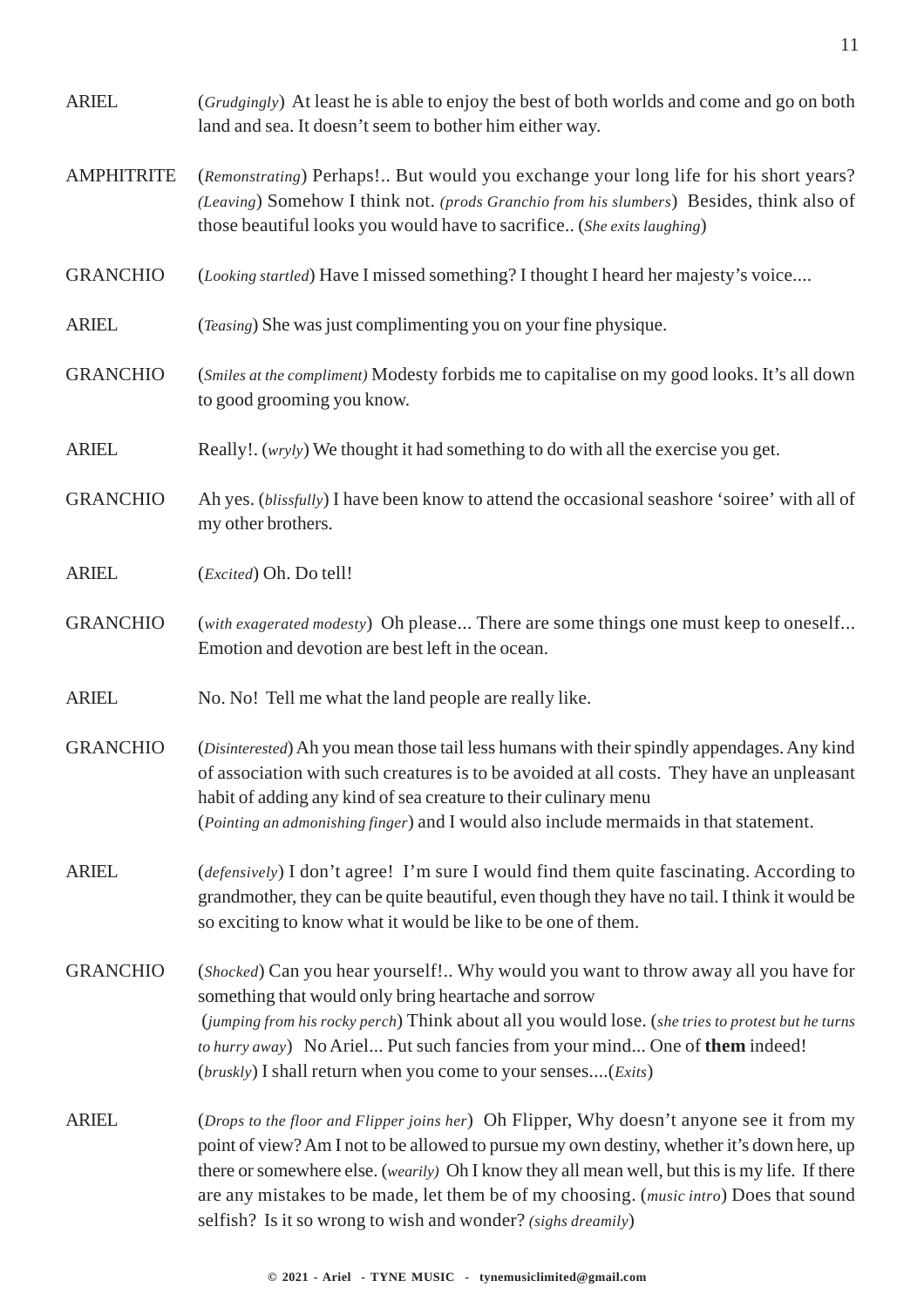| <b>ARIEL</b>      | (Grudgingly) At least he is able to enjoy the best of both worlds and come and go on both<br>land and sea. It doesn't seem to bother him either way.                                                                                                                                                                                                                                                                                                        |  |
|-------------------|-------------------------------------------------------------------------------------------------------------------------------------------------------------------------------------------------------------------------------------------------------------------------------------------------------------------------------------------------------------------------------------------------------------------------------------------------------------|--|
| <b>AMPHITRITE</b> | (Remonstrating) Perhaps! But would you exchange your long life for his short years?<br>(Leaving) Somehow I think not. (prods Granchio from his slumbers) Besides, think also of<br>those beautiful looks you would have to sacrifice (She exits laughing)                                                                                                                                                                                                   |  |
| <b>GRANCHIO</b>   | (Looking startled) Have I missed something? I thought I heard her majesty's voice                                                                                                                                                                                                                                                                                                                                                                           |  |
| <b>ARIEL</b>      | (Teasing) She was just complimenting you on your fine physique.                                                                                                                                                                                                                                                                                                                                                                                             |  |
| <b>GRANCHIO</b>   | (Smiles at the compliment) Modesty forbids me to capitalise on my good looks. It's all down<br>to good grooming you know.                                                                                                                                                                                                                                                                                                                                   |  |
| <b>ARIEL</b>      | Really!. (wryly) We thought it had something to do with all the exercise you get.                                                                                                                                                                                                                                                                                                                                                                           |  |
| <b>GRANCHIO</b>   | Ah yes. (blissfully) I have been know to attend the occasional seashore 'soiree' with all of<br>my other brothers.                                                                                                                                                                                                                                                                                                                                          |  |
| <b>ARIEL</b>      | (Excited) Oh. Do tell!                                                                                                                                                                                                                                                                                                                                                                                                                                      |  |
| <b>GRANCHIO</b>   | (with exagerated modesty) Oh please There are some things one must keep to oneself<br>Emotion and devotion are best left in the ocean.                                                                                                                                                                                                                                                                                                                      |  |
| <b>ARIEL</b>      | No. No! Tell me what the land people are really like.                                                                                                                                                                                                                                                                                                                                                                                                       |  |
| <b>GRANCHIO</b>   | (Disinterested) Ah you mean those tail less humans with their spindly appendages. Any kind<br>of association with such creatures is to be avoided at all costs. They have an unpleasant<br>habit of adding any kind of sea creature to their culinary menu<br>(Pointing an admonishing finger) and I would also include mermaids in that statement.                                                                                                         |  |
| <b>ARIEL</b>      | (defensively) I don't agree! I'm sure I would find them quite fascinating. According to<br>grandmother, they can be quite beautiful, even though they have no tail. I think it would be<br>so exciting to know what it would be like to be one of them.                                                                                                                                                                                                     |  |
| <b>GRANCHIO</b>   | (Shocked) Can you hear yourself! Why would you want to throw away all you have for<br>something that would only bring heartache and sorrow<br>(jumping from his rocky perch) Think about all you would lose. (she tries to protest but he turns<br>to hurry away) No Ariel Put such fancies from your mind One of them indeed!<br>(bruskly) I shall return when you come to your senses(Exits)                                                              |  |
| <b>ARIEL</b>      | (Drops to the floor and Flipper joins her) Oh Flipper, Why doesn't anyone see it from my<br>point of view? Am I not to be allowed to pursue my own destiny, whether it's down here, up<br>there or somewhere else. ( <i>wearily</i> ) Oh I know they all mean well, but this is my life. If there<br>are any mistakes to be made, let them be of my choosing. (music intro) Does that sound<br>selfish? Is it so wrong to wish and wonder? (sighs dreamily) |  |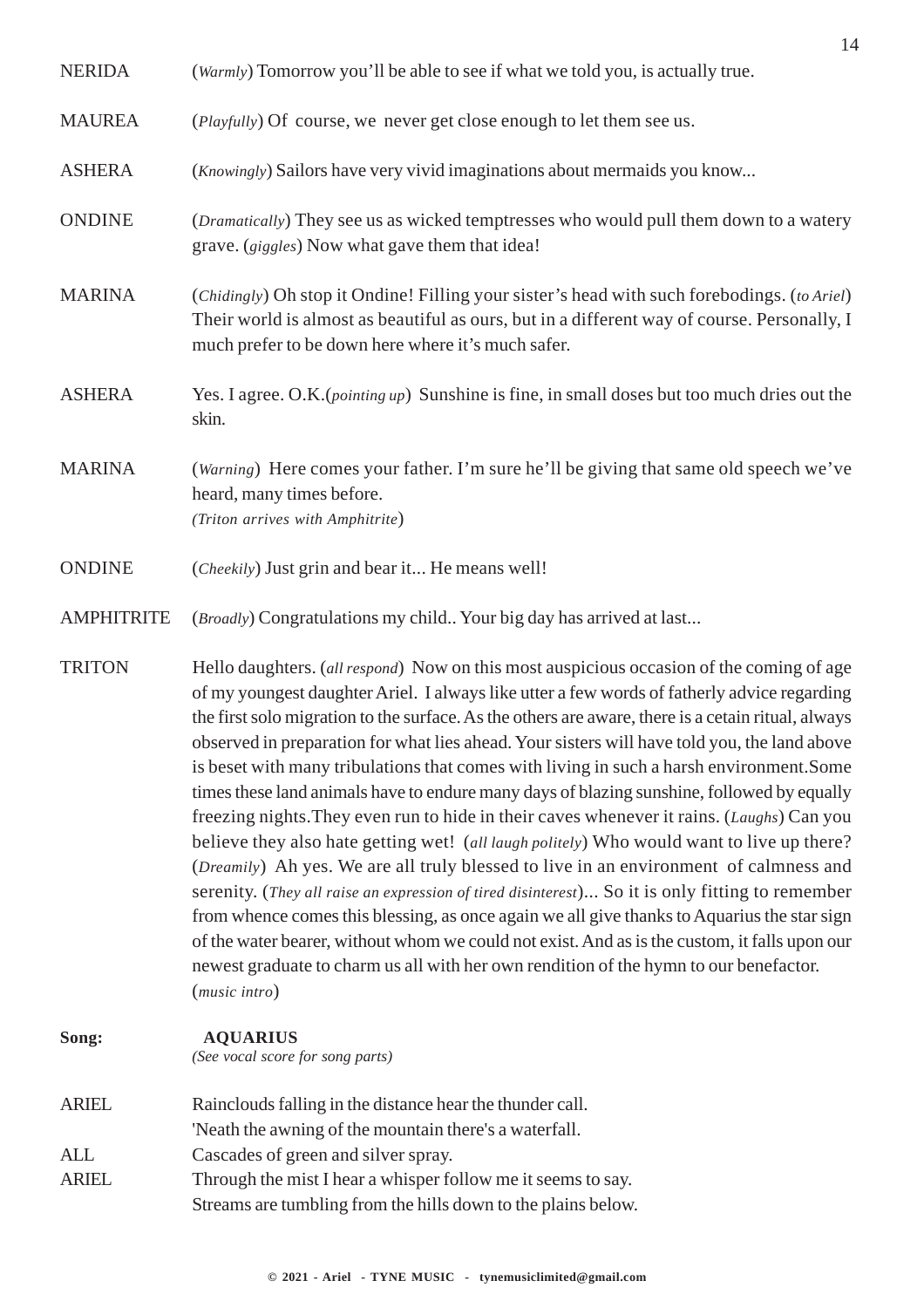|                   | 14                                                                                                                                                                                                                                                                                                                                                                                                                                                                                                                                                                                                                                                                                                                                                                                                                                                                                                                                                                                                                                                                                                                                                                                                                                                                                      |
|-------------------|-----------------------------------------------------------------------------------------------------------------------------------------------------------------------------------------------------------------------------------------------------------------------------------------------------------------------------------------------------------------------------------------------------------------------------------------------------------------------------------------------------------------------------------------------------------------------------------------------------------------------------------------------------------------------------------------------------------------------------------------------------------------------------------------------------------------------------------------------------------------------------------------------------------------------------------------------------------------------------------------------------------------------------------------------------------------------------------------------------------------------------------------------------------------------------------------------------------------------------------------------------------------------------------------|
| <b>NERIDA</b>     | (Warmly) Tomorrow you'll be able to see if what we told you, is actually true.                                                                                                                                                                                                                                                                                                                                                                                                                                                                                                                                                                                                                                                                                                                                                                                                                                                                                                                                                                                                                                                                                                                                                                                                          |
| <b>MAUREA</b>     | (Playfully) Of course, we never get close enough to let them see us.                                                                                                                                                                                                                                                                                                                                                                                                                                                                                                                                                                                                                                                                                                                                                                                                                                                                                                                                                                                                                                                                                                                                                                                                                    |
| <b>ASHERA</b>     | ( <i>Knowingly</i> ) Sailors have very vivid imaginations about mermaids you know                                                                                                                                                                                                                                                                                                                                                                                                                                                                                                                                                                                                                                                                                                                                                                                                                                                                                                                                                                                                                                                                                                                                                                                                       |
| <b>ONDINE</b>     | (Dramatically) They see us as wicked temptresses who would pull them down to a watery<br>grave. (giggles) Now what gave them that idea!                                                                                                                                                                                                                                                                                                                                                                                                                                                                                                                                                                                                                                                                                                                                                                                                                                                                                                                                                                                                                                                                                                                                                 |
| <b>MARINA</b>     | (Chidingly) Oh stop it Ondine! Filling your sister's head with such forebodings. (to Ariel)<br>Their world is almost as beautiful as ours, but in a different way of course. Personally, I<br>much prefer to be down here where it's much safer.                                                                                                                                                                                                                                                                                                                                                                                                                                                                                                                                                                                                                                                                                                                                                                                                                                                                                                                                                                                                                                        |
| <b>ASHERA</b>     | Yes. I agree. O.K. (pointing up) Sunshine is fine, in small doses but too much dries out the<br>skin.                                                                                                                                                                                                                                                                                                                                                                                                                                                                                                                                                                                                                                                                                                                                                                                                                                                                                                                                                                                                                                                                                                                                                                                   |
| <b>MARINA</b>     | (Warning) Here comes your father. I'm sure he'll be giving that same old speech we've<br>heard, many times before.<br>(Triton arrives with Amphitrite)                                                                                                                                                                                                                                                                                                                                                                                                                                                                                                                                                                                                                                                                                                                                                                                                                                                                                                                                                                                                                                                                                                                                  |
| <b>ONDINE</b>     | (Cheekily) Just grin and bear it He means well!                                                                                                                                                                                                                                                                                                                                                                                                                                                                                                                                                                                                                                                                                                                                                                                                                                                                                                                                                                                                                                                                                                                                                                                                                                         |
| <b>AMPHITRITE</b> | (Broadly) Congratulations my child Your big day has arrived at last                                                                                                                                                                                                                                                                                                                                                                                                                                                                                                                                                                                                                                                                                                                                                                                                                                                                                                                                                                                                                                                                                                                                                                                                                     |
| <b>TRITON</b>     | Hello daughters. (all respond) Now on this most auspicious occasion of the coming of age<br>of my youngest daughter Ariel. I always like utter a few words of fatherly advice regarding<br>the first solo migration to the surface. As the others are aware, there is a cetain ritual, always<br>observed in preparation for what lies ahead. Your sisters will have told you, the land above<br>is beset with many tribulations that comes with living in such a harsh environment. Some<br>times these land animals have to endure many days of blazing sunshine, followed by equally<br>freezing nights. They even run to hide in their caves whenever it rains. (Laughs) Can you<br>believe they also hate getting wet! (all laugh politely) Who would want to live up there?<br>(Dreamily) Ah yes. We are all truly blessed to live in an environment of calmness and<br>serenity. (They all raise an expression of tired disinterest) So it is only fitting to remember<br>from whence comes this blessing, as once again we all give thanks to Aquarius the star sign<br>of the water bearer, without whom we could not exist. And as is the custom, it falls upon our<br>newest graduate to charm us all with her own rendition of the hymn to our benefactor.<br>(music intro) |
| Song:             | <b>AQUARIUS</b><br>(See vocal score for song parts)                                                                                                                                                                                                                                                                                                                                                                                                                                                                                                                                                                                                                                                                                                                                                                                                                                                                                                                                                                                                                                                                                                                                                                                                                                     |
| <b>ARIEL</b>      | Rainclouds falling in the distance hear the thunder call.<br>'Neath the awning of the mountain there's a waterfall.                                                                                                                                                                                                                                                                                                                                                                                                                                                                                                                                                                                                                                                                                                                                                                                                                                                                                                                                                                                                                                                                                                                                                                     |
| <b>ALL</b>        | Cascades of green and silver spray.                                                                                                                                                                                                                                                                                                                                                                                                                                                                                                                                                                                                                                                                                                                                                                                                                                                                                                                                                                                                                                                                                                                                                                                                                                                     |
| <b>ARIEL</b>      | Through the mist I hear a whisper follow me it seems to say.<br>Streams are tumbling from the hills down to the plains below.                                                                                                                                                                                                                                                                                                                                                                                                                                                                                                                                                                                                                                                                                                                                                                                                                                                                                                                                                                                                                                                                                                                                                           |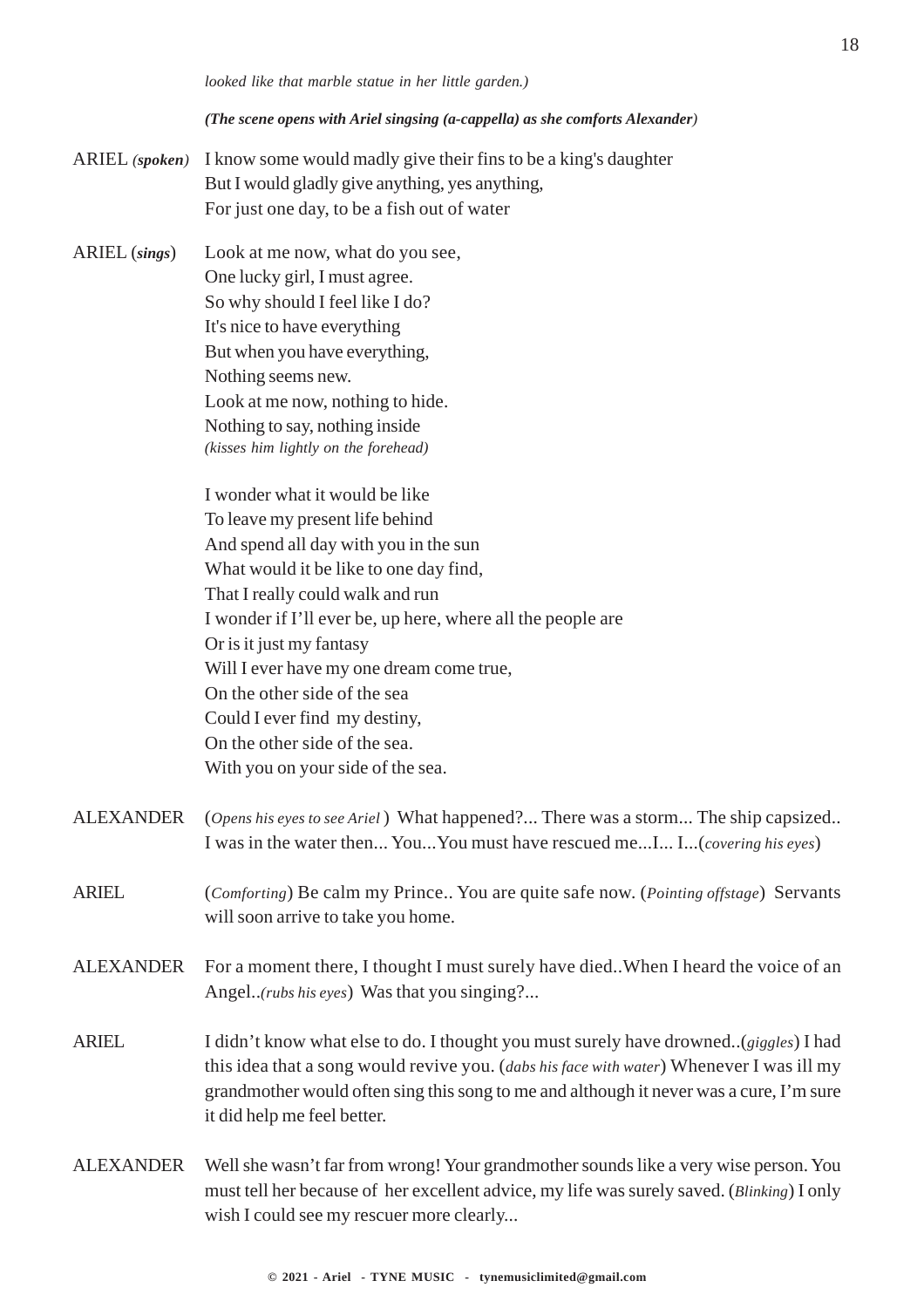#### *(The scene opens with Ariel singsing (a-cappella) as she comforts Alexander)*

- ARIEL *(spoken)* I know some would madly give their fins to be a king's daughter But I would gladly give anything, yes anything, For just one day, to be a fish out of water
- ARIEL (*sings*) Look at me now, what do you see, One lucky girl, I must agree. So why should I feel like I do? It's nice to have everything But when you have everything, Nothing seems new. Look at me now, nothing to hide. Nothing to say, nothing inside *(kisses him lightly on the forehead)*

I wonder what it would be like To leave my present life behind And spend all day with you in the sun What would it be like to one day find, That I really could walk and run I wonder if I'll ever be, up here, where all the people are Or is it just my fantasy Will I ever have my one dream come true, On the other side of the sea Could I ever find my destiny, On the other side of the sea. With you on your side of the sea.

- ALEXANDER (*Opens his eyes to see Ariel* ) What happened?... There was a storm... The ship capsized.. I was in the water then... You...You must have rescued me...I... I...(*covering his eyes*)
- ARIEL (*Comforting*) Be calm my Prince.. You are quite safe now. (*Pointing offstage*) Servants will soon arrive to take you home.
- ALEXANDER For a moment there, I thought I must surely have died..When I heard the voice of an Angel..*(rubs his eyes*) Was that you singing?...
- ARIEL I didn't know what else to do. I thought you must surely have drowned..(*giggles*) I had this idea that a song would revive you. (*dabs his face with water*) Whenever I was ill my grandmother would often sing this song to me and although it never was a cure, I'm sure it did help me feel better.
- ALEXANDER Well she wasn't far from wrong! Your grandmother sounds like a very wise person. You must tell her because of her excellent advice, my life was surely saved. (*Blinking*) I only wish I could see my rescuer more clearly...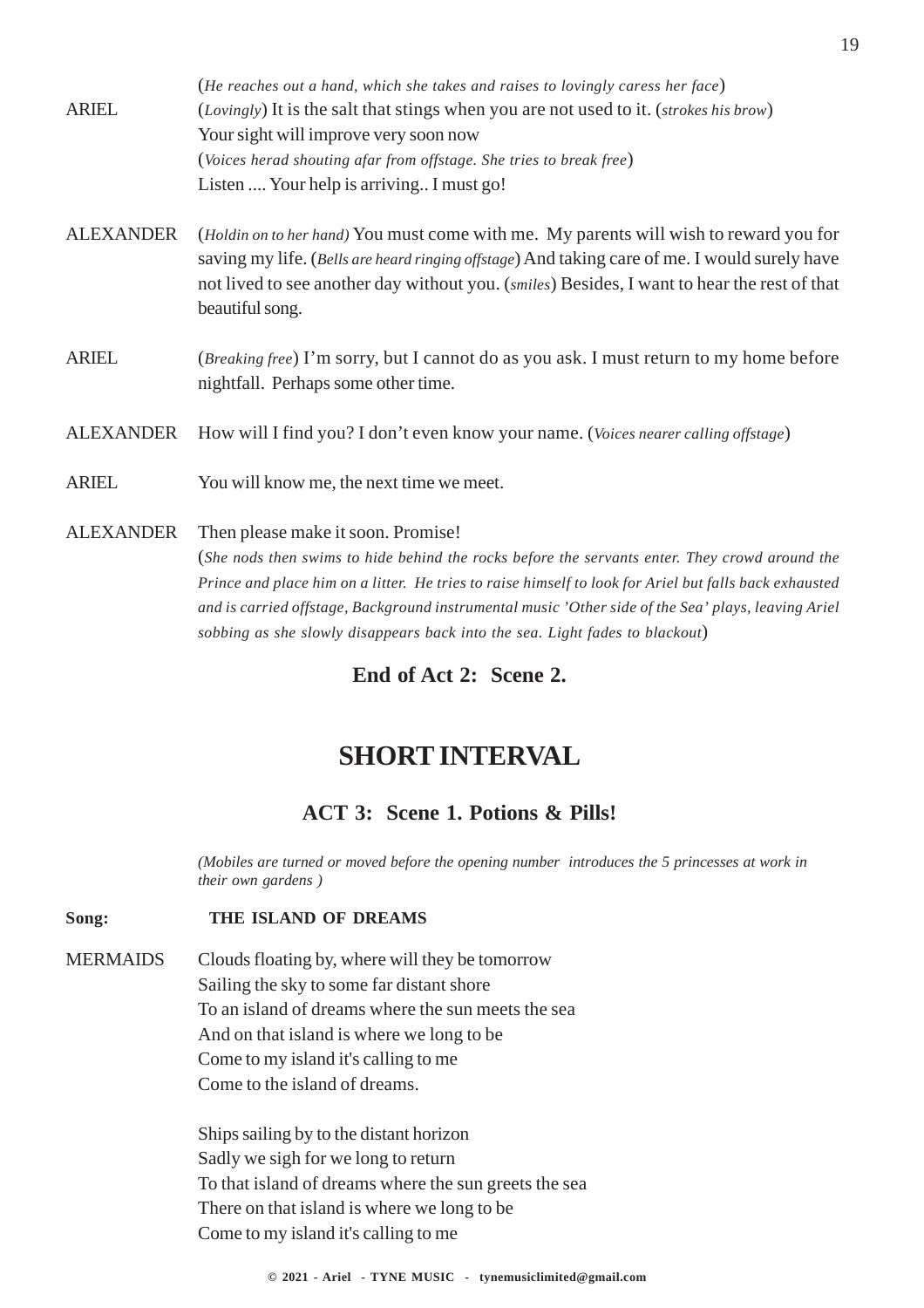|                  | (He reaches out a hand, which she takes and raises to lovingly caress her face)                                                                                                                                                                                                                          |
|------------------|----------------------------------------------------------------------------------------------------------------------------------------------------------------------------------------------------------------------------------------------------------------------------------------------------------|
| <b>ARIEL</b>     | (Lovingly) It is the salt that stings when you are not used to it. (strokes his brow)                                                                                                                                                                                                                    |
|                  | Your sight will improve very soon now                                                                                                                                                                                                                                                                    |
|                  | (Voices herad shouting afar from offstage. She tries to break free)                                                                                                                                                                                                                                      |
|                  | Listen  Your help is arriving I must go!                                                                                                                                                                                                                                                                 |
| <b>ALEXANDER</b> | (Holdin on to her hand) You must come with me. My parents will wish to reward you for<br>saving my life. (Bells are heard ringing offstage) And taking care of me. I would surely have<br>not lived to see another day without you. (smiles) Besides, I want to hear the rest of that<br>beautiful song. |
| <b>ARIEL</b>     | <i>(Breaking free)</i> I'm sorry, but I cannot do as you ask. I must return to my home before<br>nightfall. Perhaps some other time.                                                                                                                                                                     |
| <b>ALEXANDER</b> | How will I find you? I don't even know your name. (Voices nearer calling offstage)                                                                                                                                                                                                                       |
| <b>ARIEL</b>     | You will know me, the next time we meet.                                                                                                                                                                                                                                                                 |
| <b>ALEXANDER</b> | Then please make it soon. Promise!                                                                                                                                                                                                                                                                       |
|                  | (She nods then swims to hide behind the rocks before the servants enter. They crowd around the                                                                                                                                                                                                           |
|                  | Prince and place him on a litter. He tries to raise himself to look for Ariel but falls back exhausted<br>and is carried offstage, Background instrumental music 'Other side of the Sea' plays, leaving Ariel                                                                                            |

**End of Act 2: Scene 2.**

*sobbing as she slowly disappears back into the sea. Light fades to blackout*)

### **SHORT INTERVAL**

#### **ACT 3: Scene 1. Potions & Pills!**

*(Mobiles are turned or moved before the opening number introduces the 5 princesses at work in their own gardens )*

#### **Song: THE ISLAND OF DREAMS**

MERMAIDS Clouds floating by, where will they be tomorrow Sailing the sky to some far distant shore To an island of dreams where the sun meets the sea And on that island is where we long to be Come to my island it's calling to me Come to the island of dreams.

> Ships sailing by to the distant horizon Sadly we sigh for we long to return To that island of dreams where the sun greets the sea There on that island is where we long to be Come to my island it's calling to me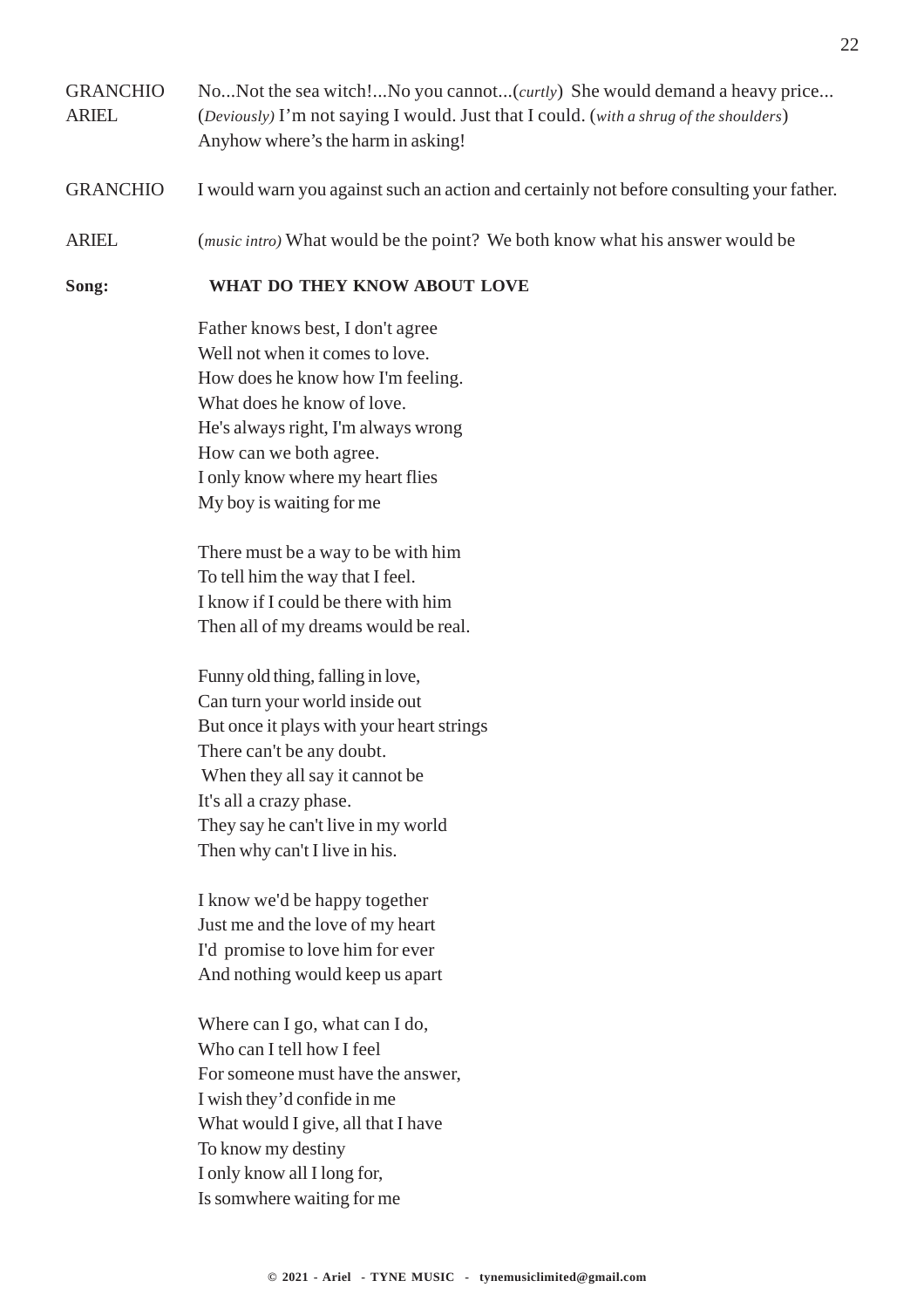#### GRANCHIO No...Not the sea witch!...No you cannot...(*curtly*) She would demand a heavy price... ARIEL (*Deviously)* I'm not saying I would. Just that I could. (*with a shrug of the shoulders*) Anyhow where's the harm in asking!

- GRANCHIO I would warn you against such an action and certainly not before consulting your father.
- ARIEL (*music intro)* What would be the point? We both know what his answer would be

#### **Song: WHAT DO THEY KNOW ABOUT LOVE**

Father knows best, I don't agree Well not when it comes to love. How does he know how I'm feeling. What does he know of love. He's always right, I'm always wrong How can we both agree. I only know where my heart flies My boy is waiting for me

There must be a way to be with him To tell him the way that I feel. I know if I could be there with him Then all of my dreams would be real.

Funny old thing, falling in love, Can turn your world inside out But once it plays with your heart strings There can't be any doubt. When they all say it cannot be It's all a crazy phase. They say he can't live in my world Then why can't I live in his.

I know we'd be happy together Just me and the love of my heart I'd promise to love him for ever And nothing would keep us apart

Where can I go, what can I do, Who can I tell how I feel For someone must have the answer, I wish they'd confide in me What would I give, all that I have To know my destiny I only know all I long for, Is somwhere waiting for me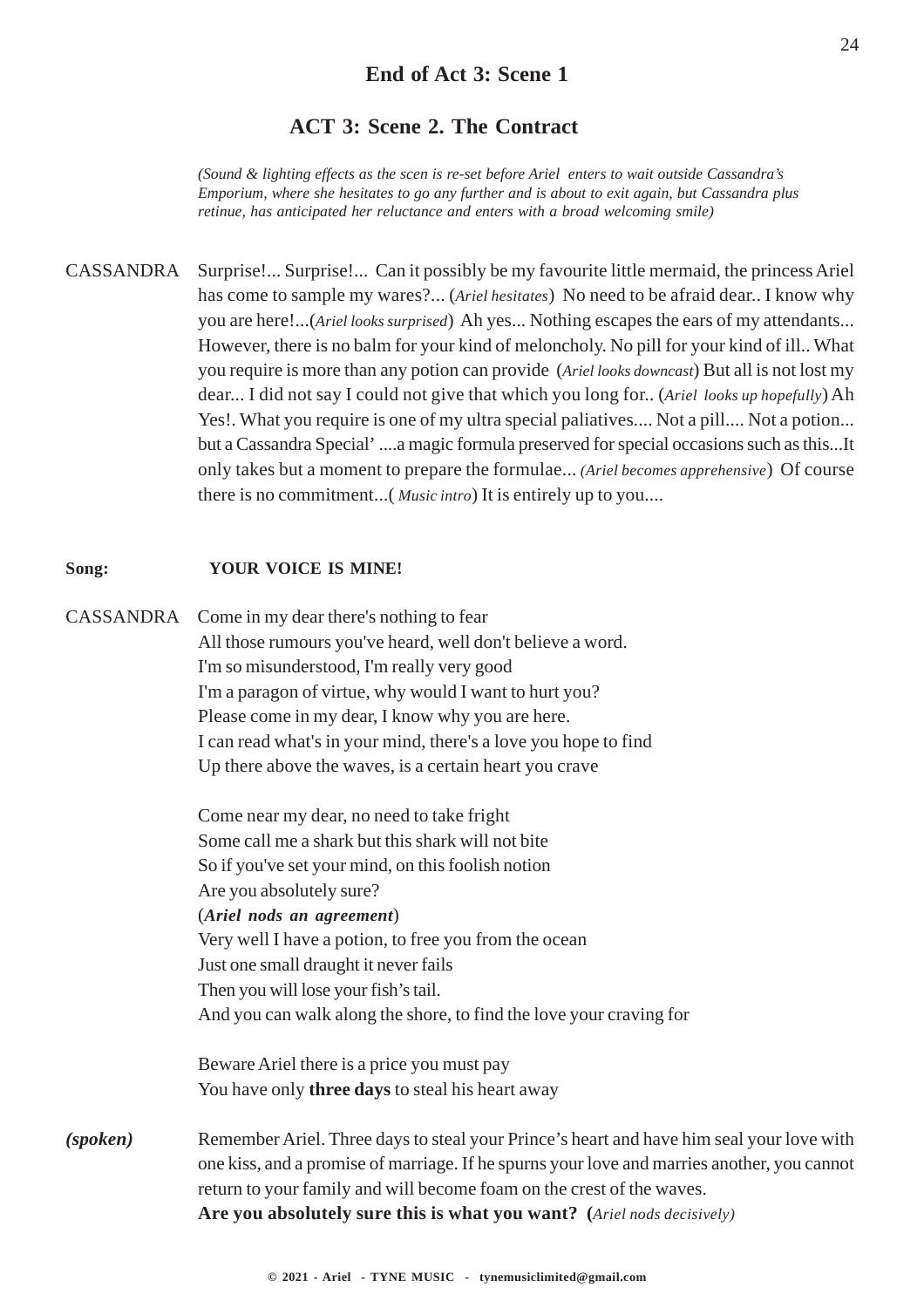#### **ACT 3: Scene 2. The Contract**

*(Sound & lighting effects as the scen is re-set before Ariel enters to wait outside Cassandra's Emporium, where she hesitates to go any further and is about to exit again, but Cassandra plus retinue, has anticipated her reluctance and enters with a broad welcoming smile)*

CASSANDRA Surprise!... Surprise!... Can it possibly be my favourite little mermaid, the princess Ariel has come to sample my wares?... (*Ariel hesitates*) No need to be afraid dear.. I know why you are here!...(*Ariel looks surprised*) Ah yes... Nothing escapes the ears of my attendants... However, there is no balm for your kind of meloncholy. No pill for your kind of ill.. What you require is more than any potion can provide (*Ariel looks downcast*) But all is not lost my dear... I did not say I could not give that which you long for.. (*Ariel looks up hopefully*) Ah Yes!. What you require is one of my ultra special paliatives.... Not a pill.... Not a potion... but a Cassandra Special' ....a magic formula preserved for special occasions such as this...It only takes but a moment to prepare the formulae... *(Ariel becomes apprehensive*) Of course there is no commitment...( *Music intro*) It is entirely up to you....

#### **Song: YOUR VOICE IS MINE!**

CASSANDRA Come in my dear there's nothing to fear All those rumours you've heard, well don't believe a word. I'm so misunderstood, I'm really very good I'm a paragon of virtue, why would I want to hurt you? Please come in my dear, I know why you are here. I can read what's in your mind, there's a love you hope to find Up there above the waves, is a certain heart you crave

> Come near my dear, no need to take fright Some call me a shark but this shark will not bite So if you've set your mind, on this foolish notion Are you absolutely sure? (*Ariel nods an agreement*) Very well I have a potion, to free you from the ocean Just one small draught it never fails Then you will lose your fish's tail. And you can walk along the shore, to find the love your craving for

Beware Ariel there is a price you must pay You have only **three days** to steal his heart away

*(spoken)* Remember Ariel. Three days to steal your Prince's heart and have him seal your love with one kiss, and a promise of marriage. If he spurns your love and marries another, you cannot return to your family and will become foam on the crest of the waves. **Are you absolutely sure this is what you want? (***Ariel nods decisively)*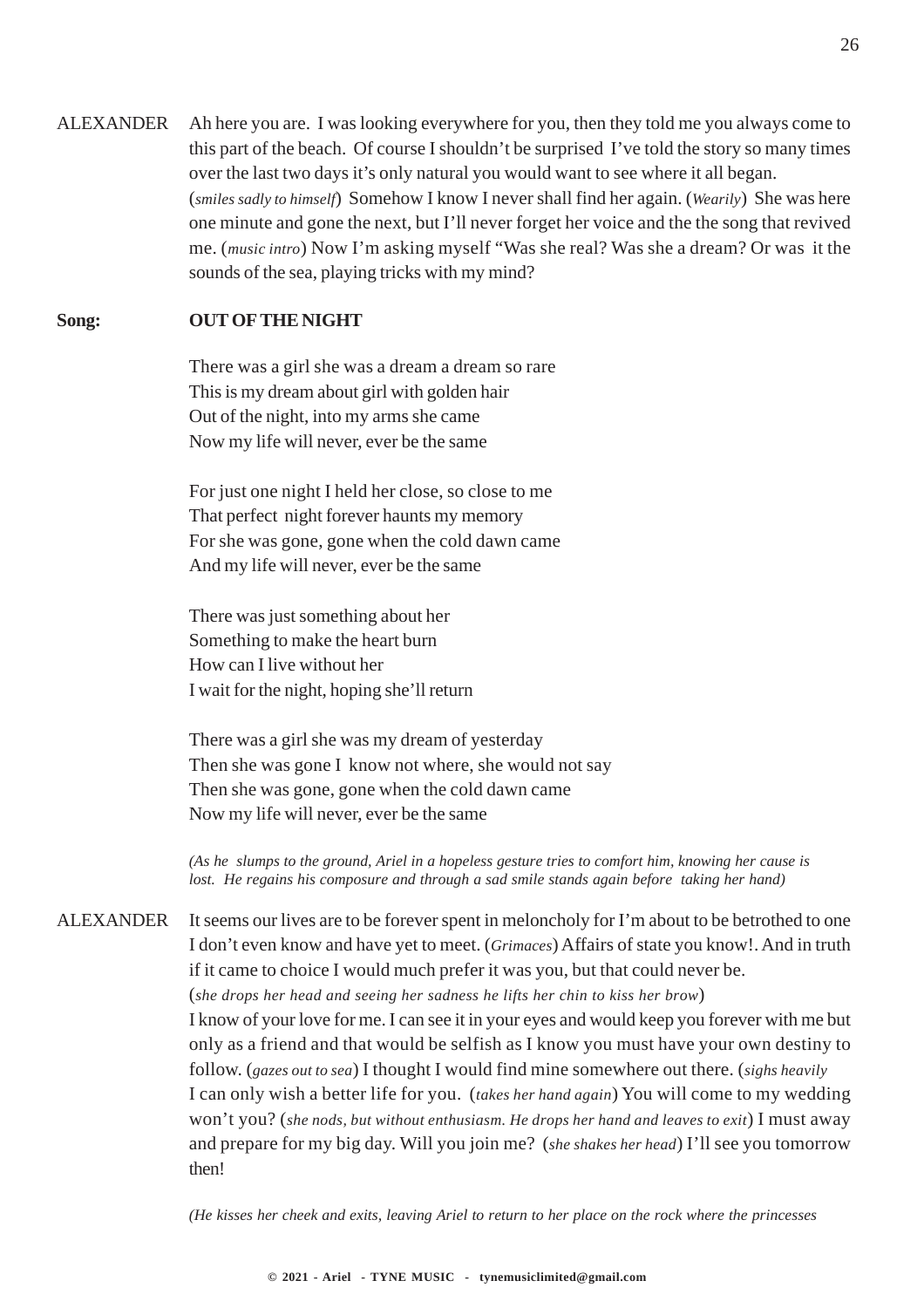ALEXANDER Ah here you are. I was looking everywhere for you, then they told me you always come to this part of the beach. Of course I shouldn't be surprised I've told the story so many times over the last two days it's only natural you would want to see where it all began. (*smiles sadly to himself*) Somehow I know I never shall find her again. (*Wearily*) She was here one minute and gone the next, but I'll never forget her voice and the the song that revived me. (*music intro*) Now I'm asking myself "Was she real? Was she a dream? Or was it the sounds of the sea, playing tricks with my mind?

#### **Song: OUT OF THE NIGHT**

There was a girl she was a dream a dream so rare This is my dream about girl with golden hair Out of the night, into my arms she came Now my life will never, ever be the same

For just one night I held her close, so close to me That perfect night forever haunts my memory For she was gone, gone when the cold dawn came And my life will never, ever be the same

There was just something about her Something to make the heart burn How can I live without her I wait for the night, hoping she'll return

There was a girl she was my dream of yesterday Then she was gone I know not where, she would not say Then she was gone, gone when the cold dawn came Now my life will never, ever be the same

*(As he slumps to the ground, Ariel in a hopeless gesture tries to comfort him, knowing her cause is lost. He regains his composure and through a sad smile stands again before taking her hand)*

ALEXANDER It seems our lives are to be forever spent in meloncholy for I'm about to be betrothed to one I don't even know and have yet to meet. (*Grimaces*) Affairs of state you know!. And in truth if it came to choice I would much prefer it was you, but that could never be. (*she drops her head and seeing her sadness he lifts her chin to kiss her brow*) I know of your love for me. I can see it in your eyes and would keep you forever with me but only as a friend and that would be selfish as I know you must have your own destiny to follow. (*gazes out to sea*) I thought I would find mine somewhere out there. (*sighs heavily* I can only wish a better life for you. (*takes her hand again*) You will come to my wedding won't you? (*she nods, but without enthusiasm. He drops her hand and leaves to exit*) I must away and prepare for my big day. Will you join me? (*she shakes her head*) I'll see you tomorrow then!

*(He kisses her cheek and exits, leaving Ariel to return to her place on the rock where the princesses*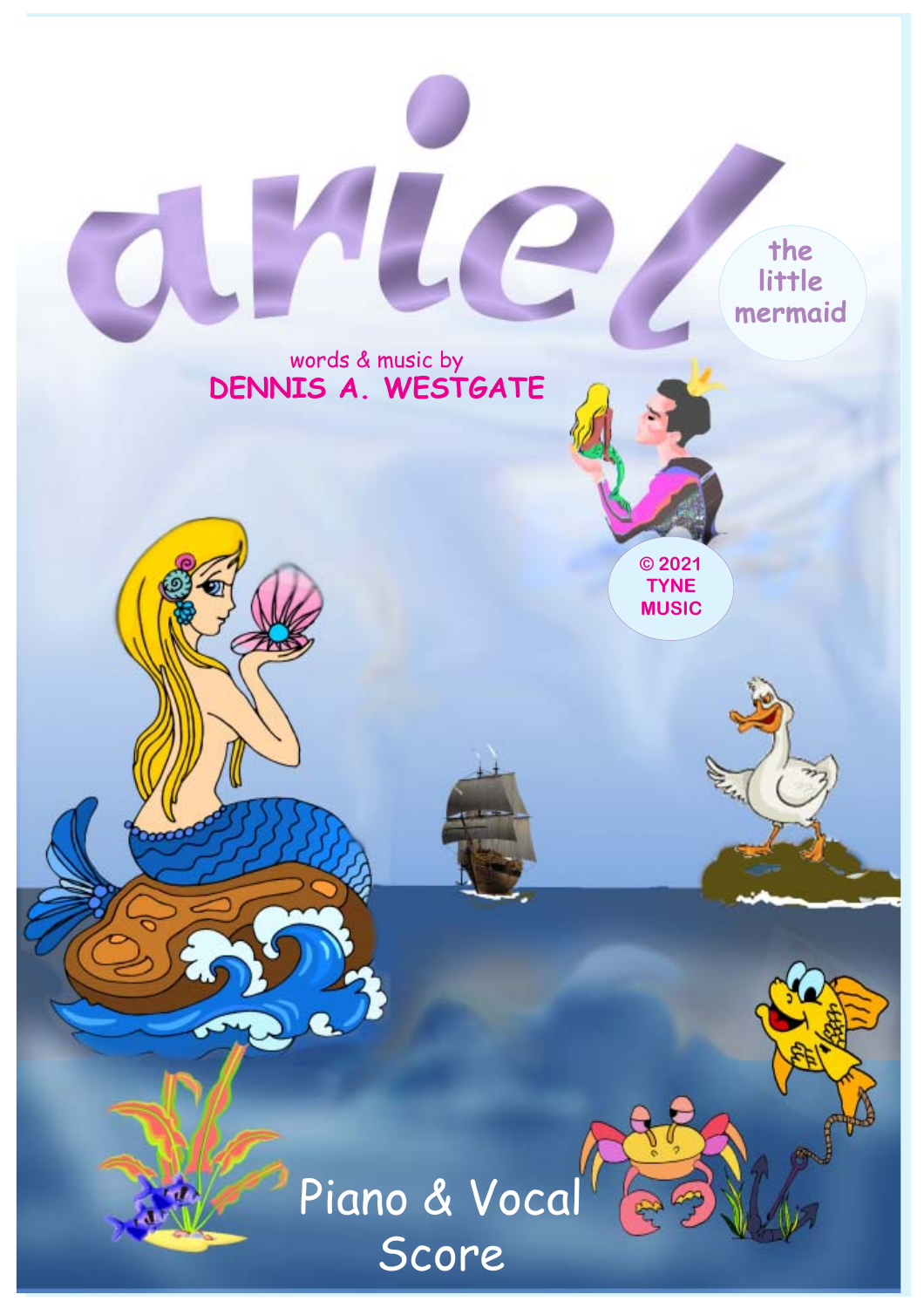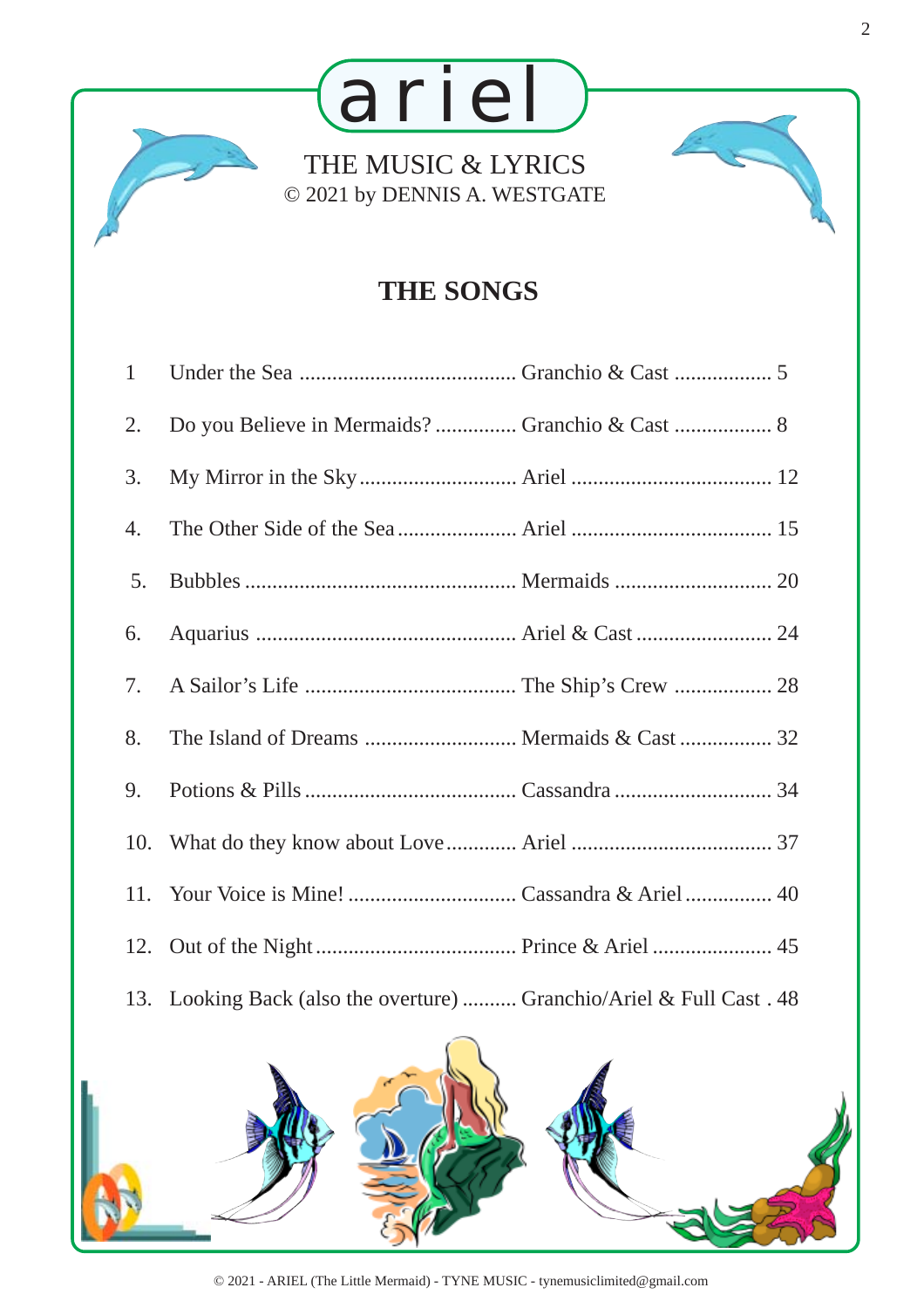

### **THE SONGS**

| $\mathbf{1}$ |                                                                       |  |
|--------------|-----------------------------------------------------------------------|--|
| 2.           |                                                                       |  |
| 3.           |                                                                       |  |
| 4.           |                                                                       |  |
| 5.           |                                                                       |  |
| 6.           |                                                                       |  |
| 7.           |                                                                       |  |
| 8.           |                                                                       |  |
| 9.           |                                                                       |  |
|              |                                                                       |  |
|              |                                                                       |  |
|              |                                                                       |  |
|              | 13. Looking Back (also the overture)  Granchio/Ariel & Full Cast . 48 |  |
|              |                                                                       |  |

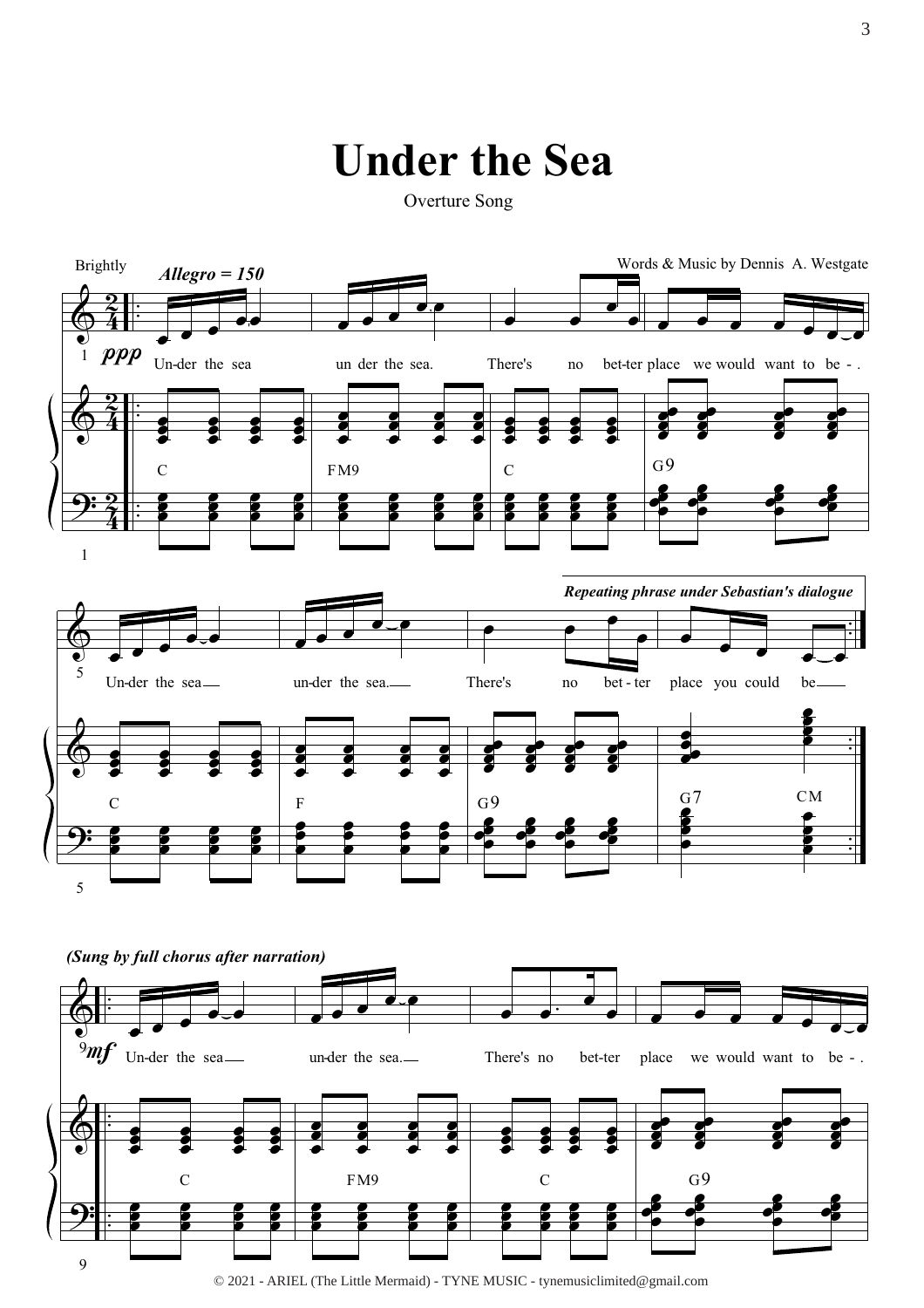### **Under the Sea**

Overture Song



© 2021 - ARIEL (The Little Mermaid) - TYNE MUSIC - tynemusiclimited@gmail.com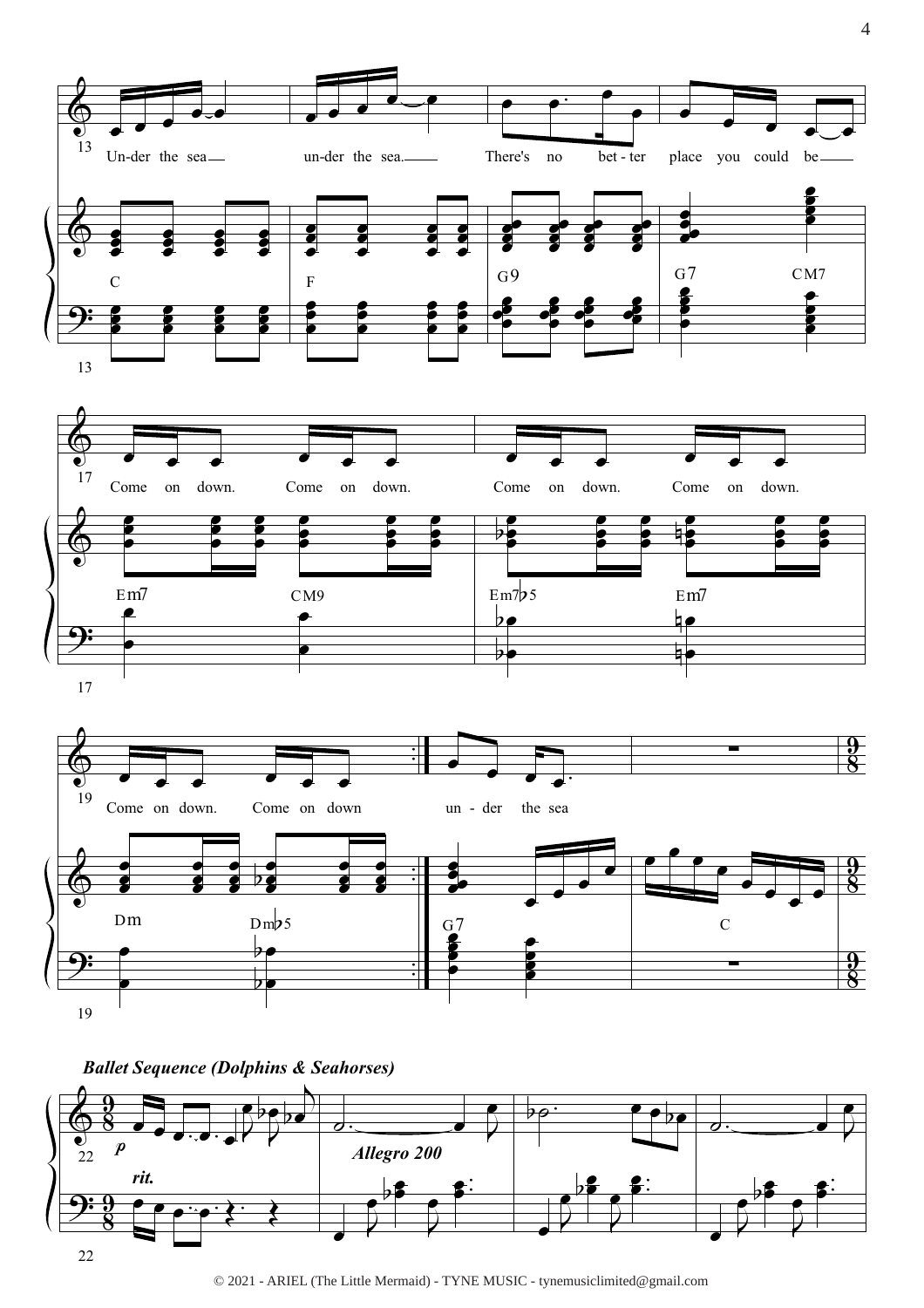





© 2021 - ARIEL (The Little Mermaid) - TYNE MUSIC - tynemusiclimited@gmail.com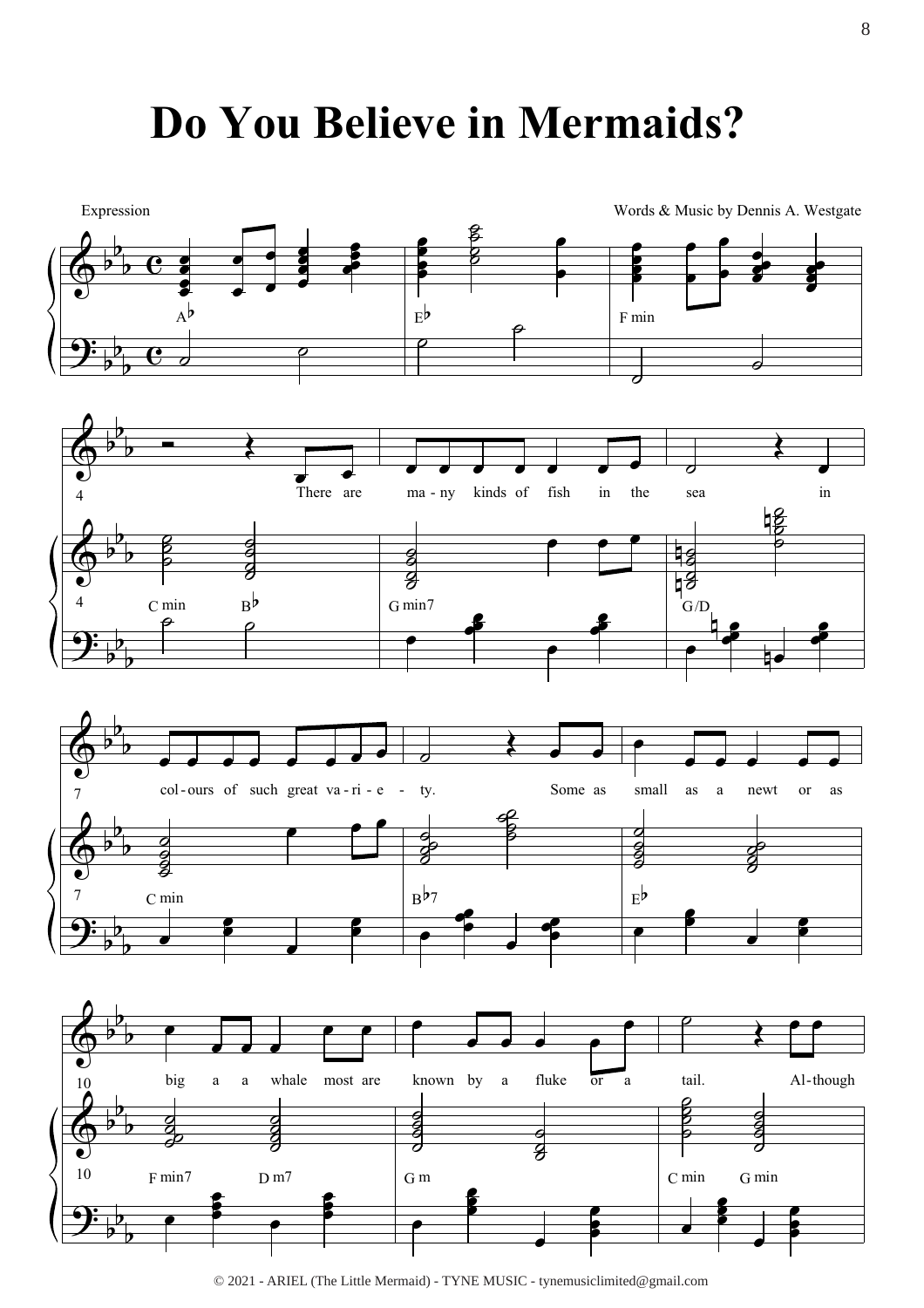# **Do You Believe in Mermaids?**



<sup>© 2021 -</sup> ARIEL (The Little Mermaid) - TYNE MUSIC - tynemusiclimited@gmail.com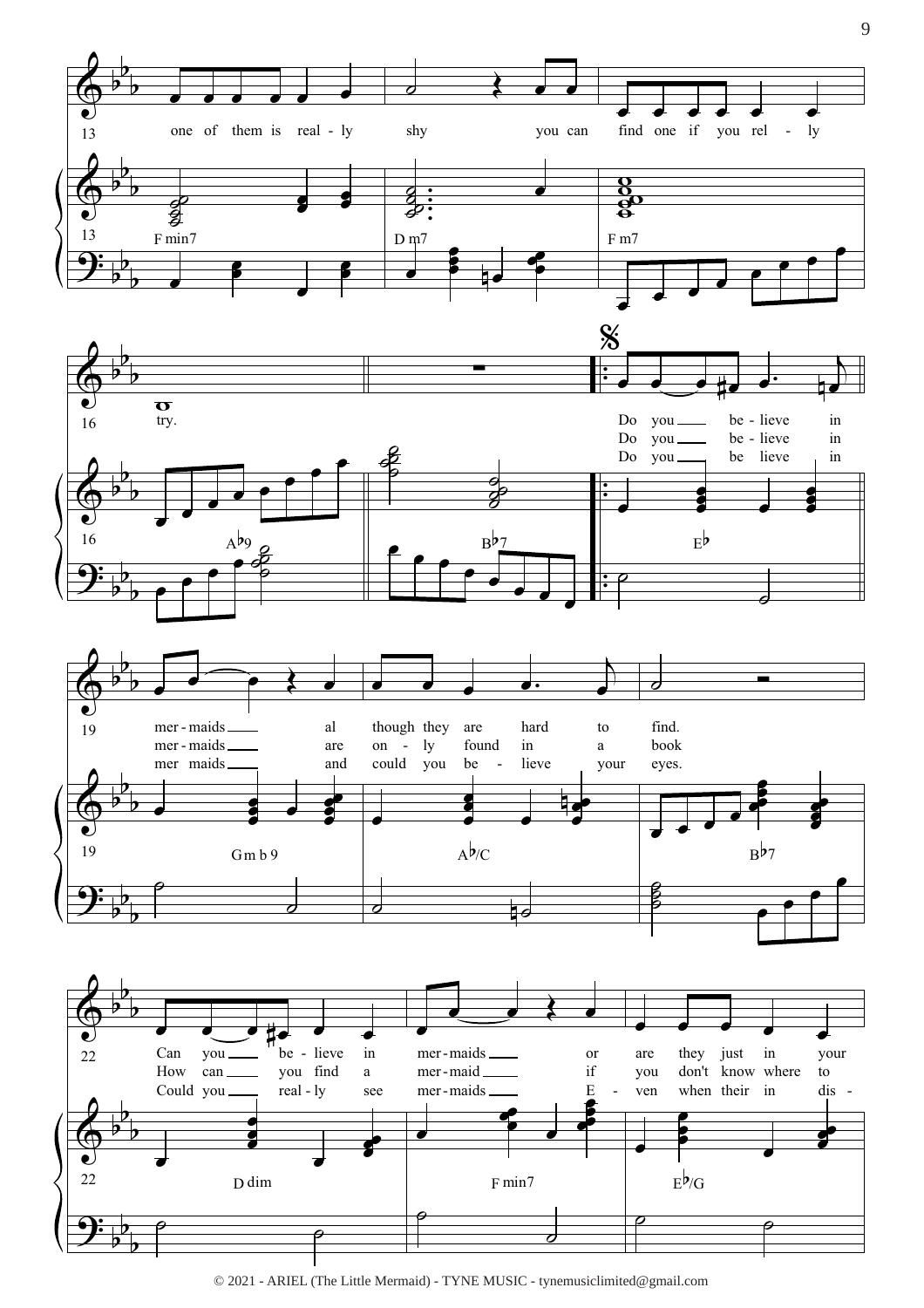

© 2021 - ARIEL (The Little Mermaid) - TYNE MUSIC - tynemusiclimited@gmail.com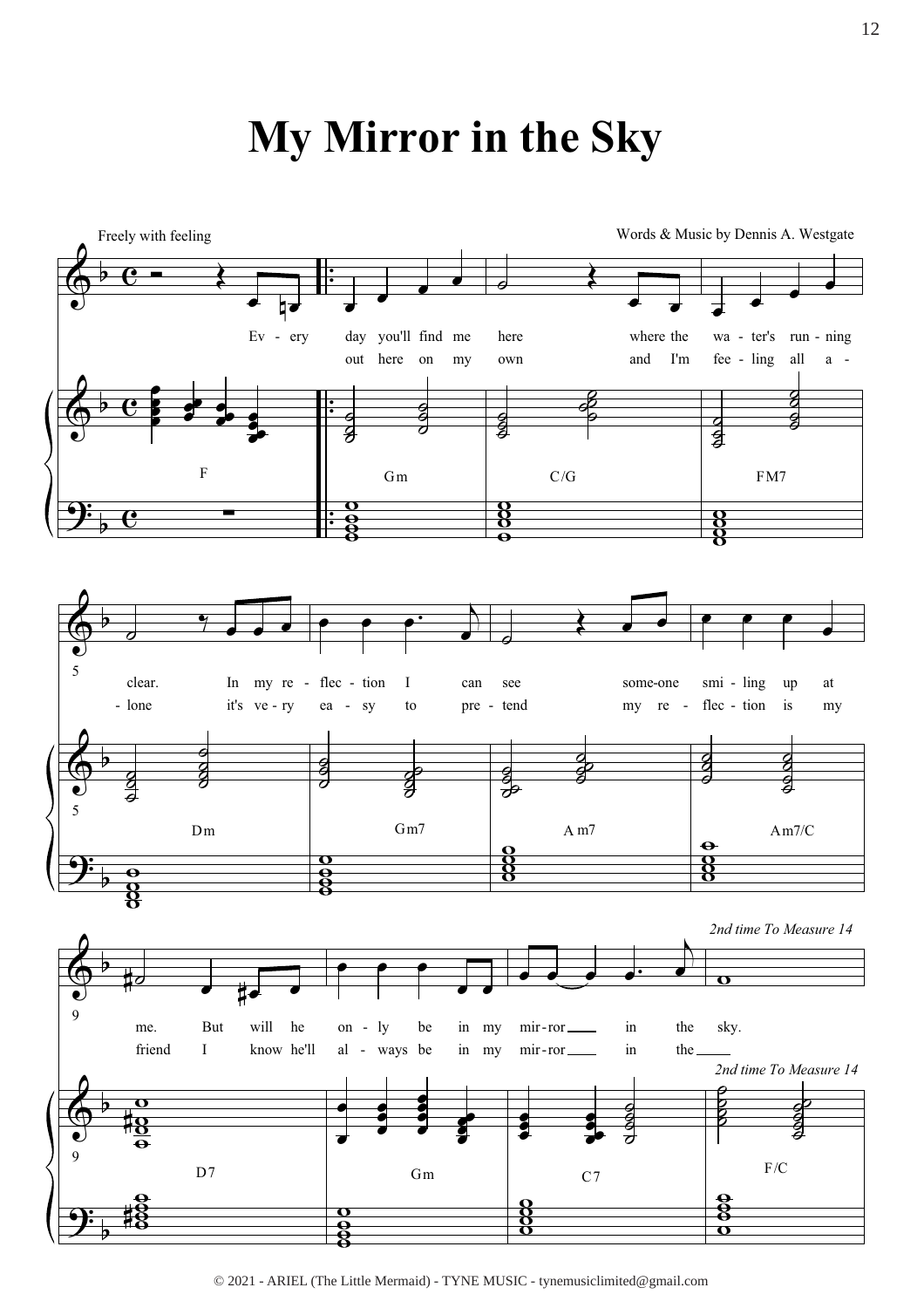# My Mirror in the Sky



<sup>© 2021 -</sup> ARIEL (The Little Mermaid) - TYNE MUSIC - tynemusiclimited@gmail.com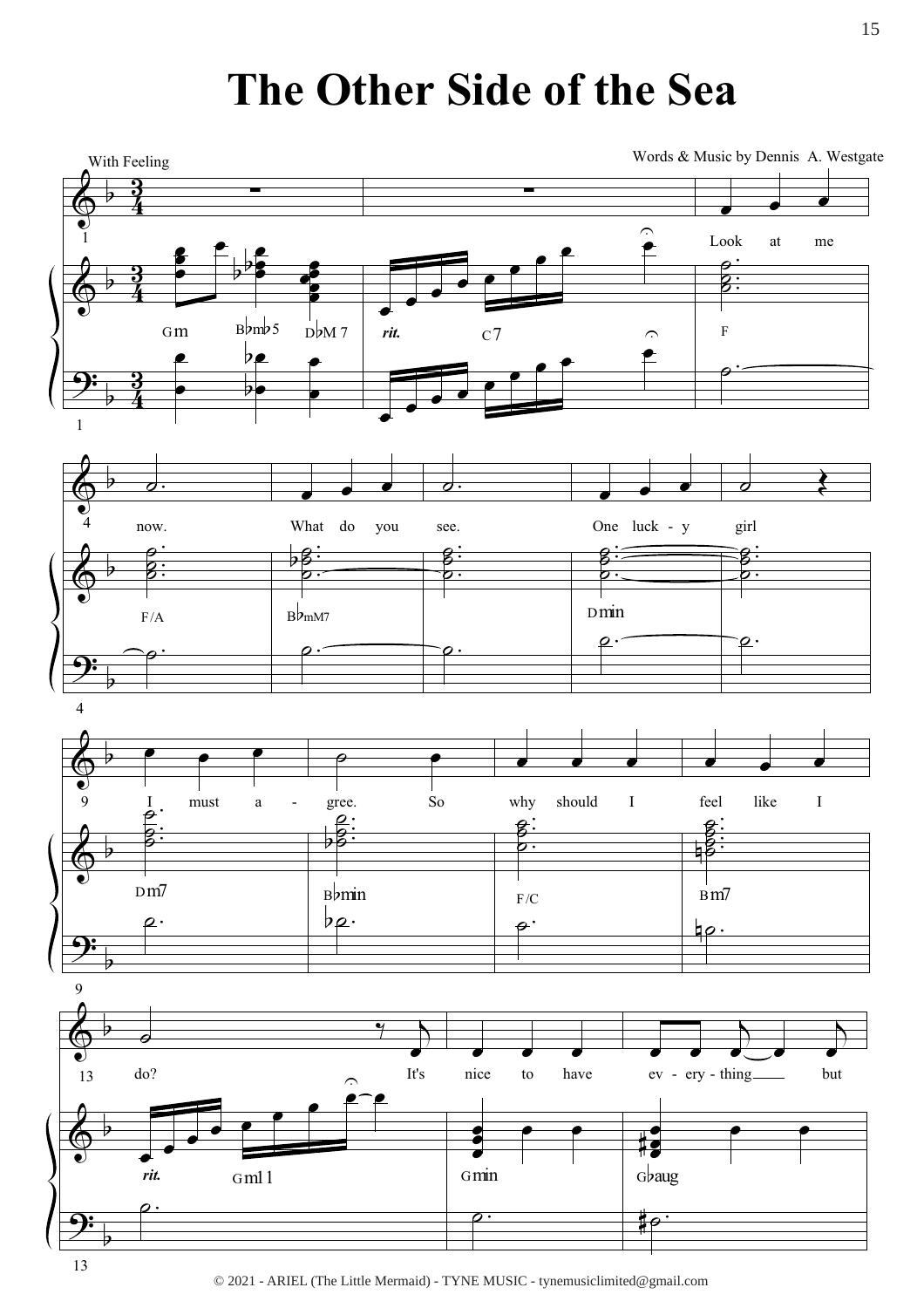# The Other Side of the Sea

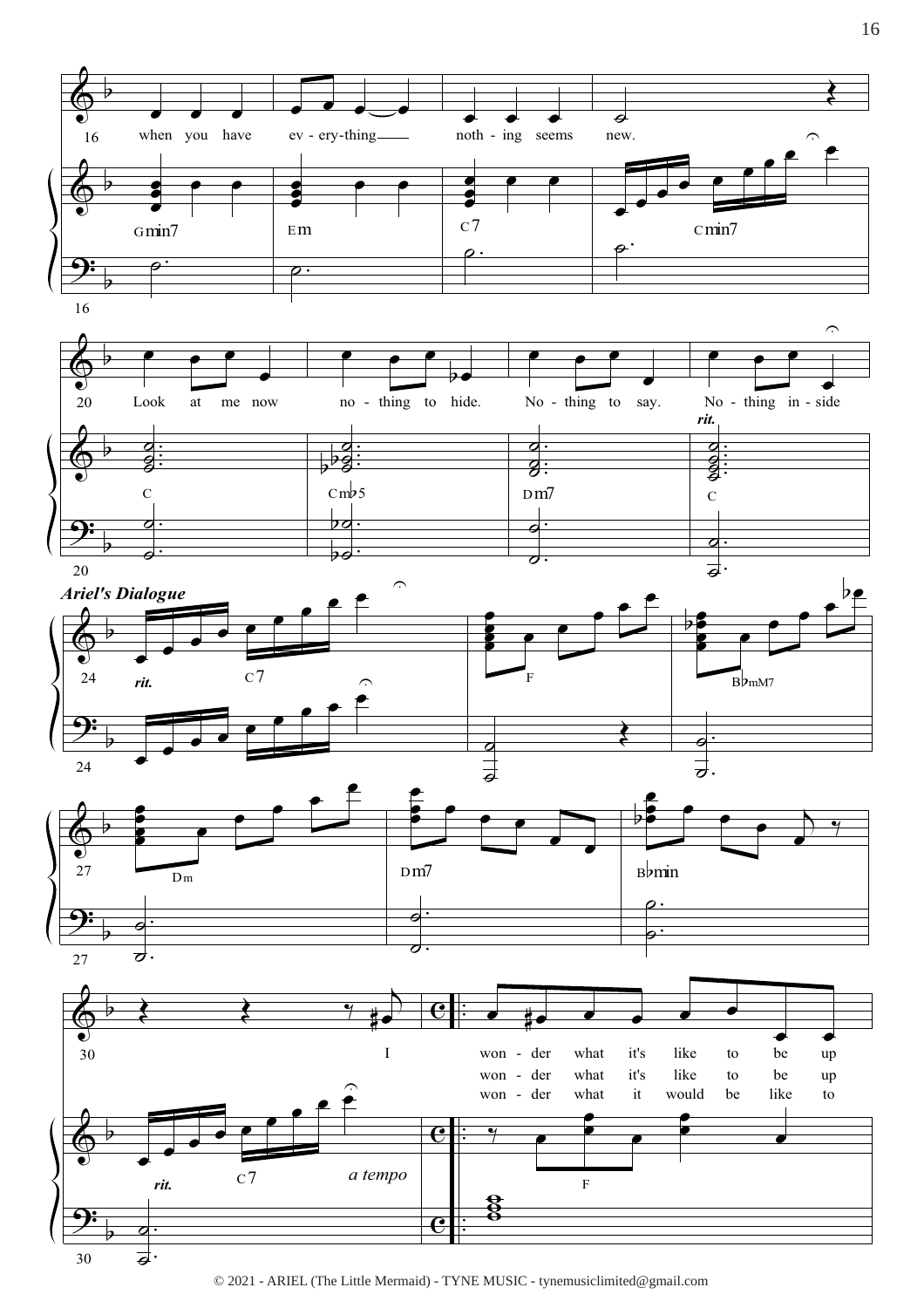

© 2021 - ARIEL (The Little Mermaid) - TYNE MUSIC - tynemusiclimited@gmail.com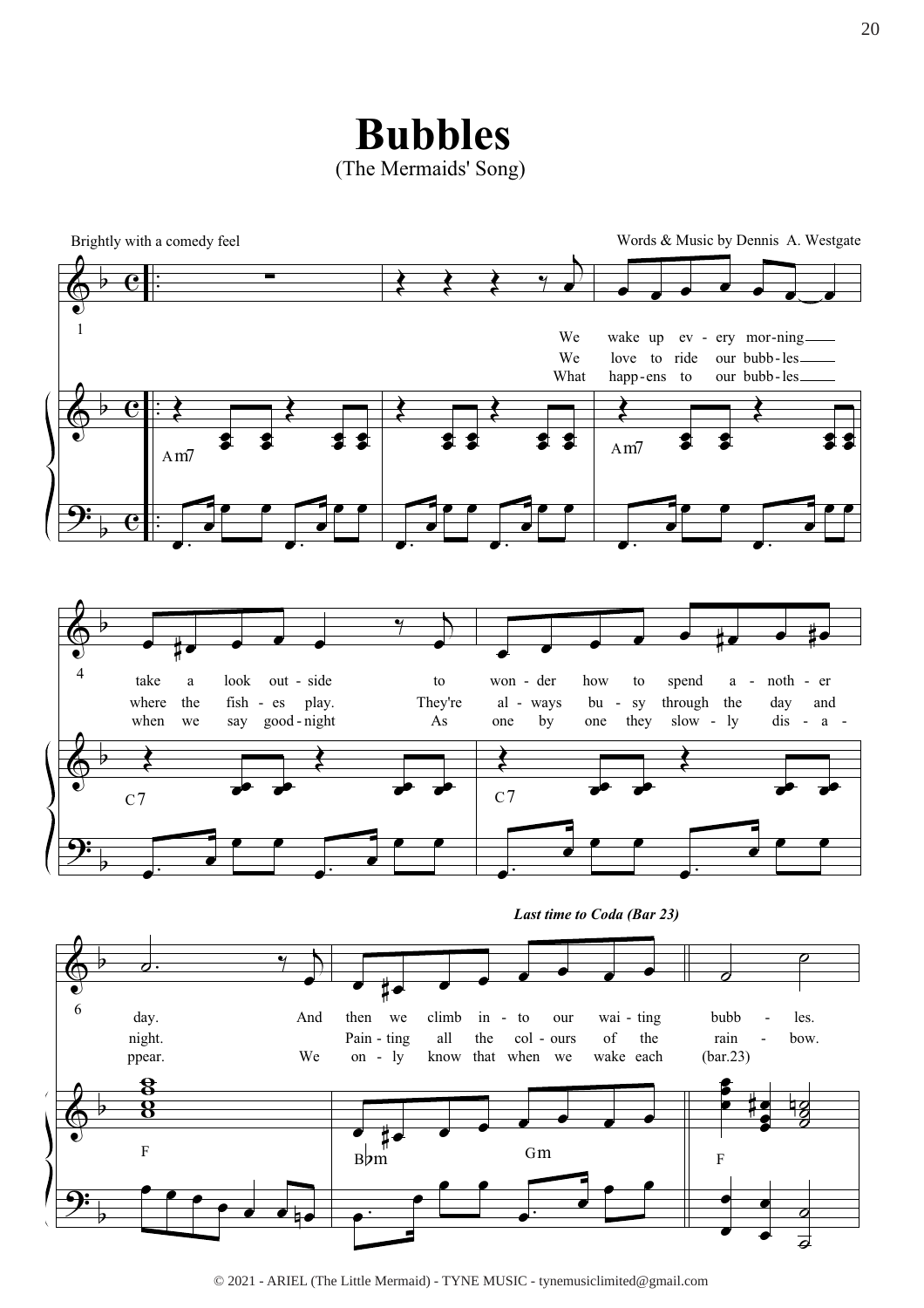**Bubbles** (The Mermaids' Song)



<sup>© 2021 -</sup> ARIEL (The Little Mermaid) - TYNE MUSIC - tynemusiclimited@gmail.com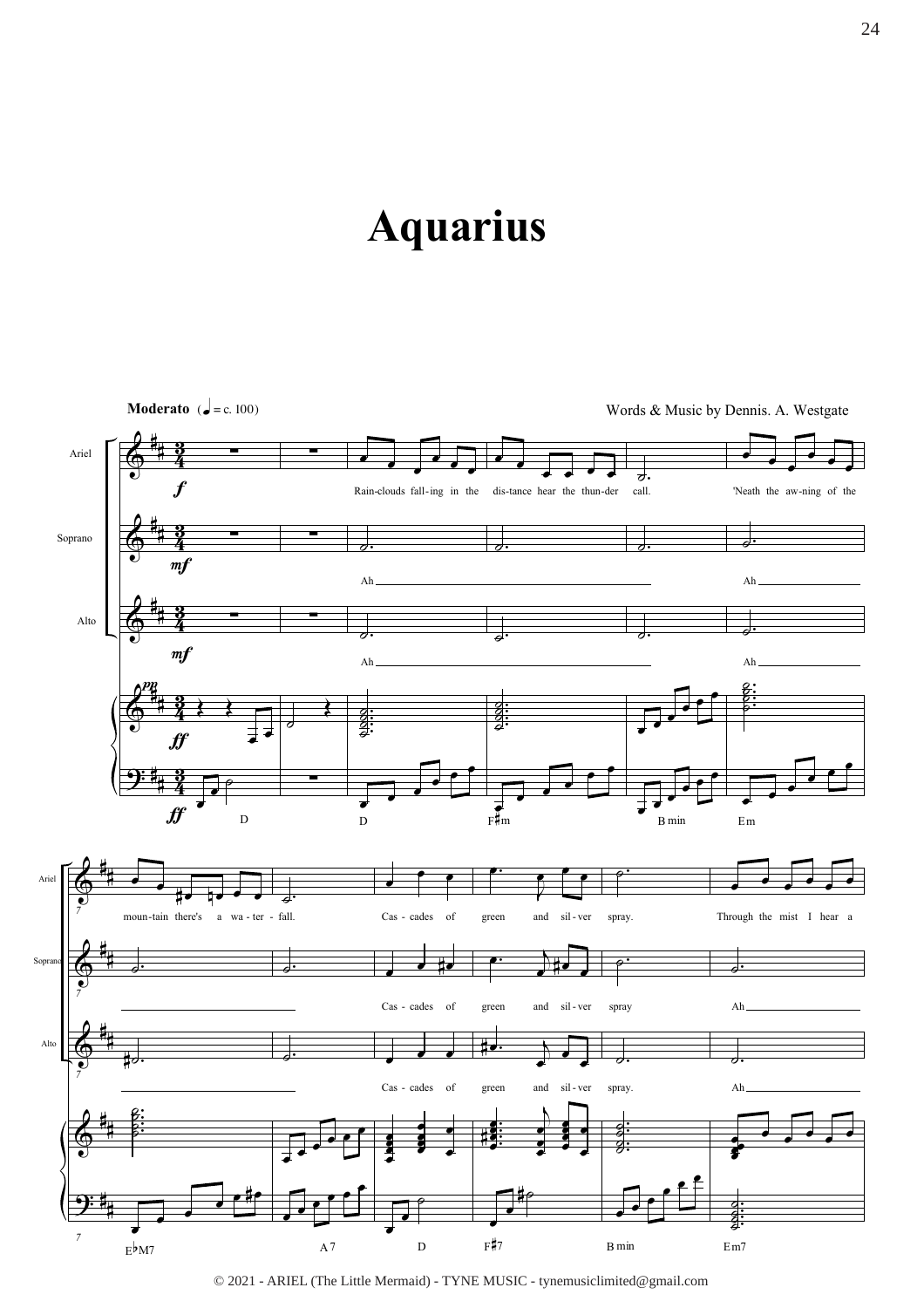# **Aquarius**



<sup>© 2021 -</sup> ARIEL (The Little Mermaid) - TYNE MUSIC - tynemusiclimited@gmail.com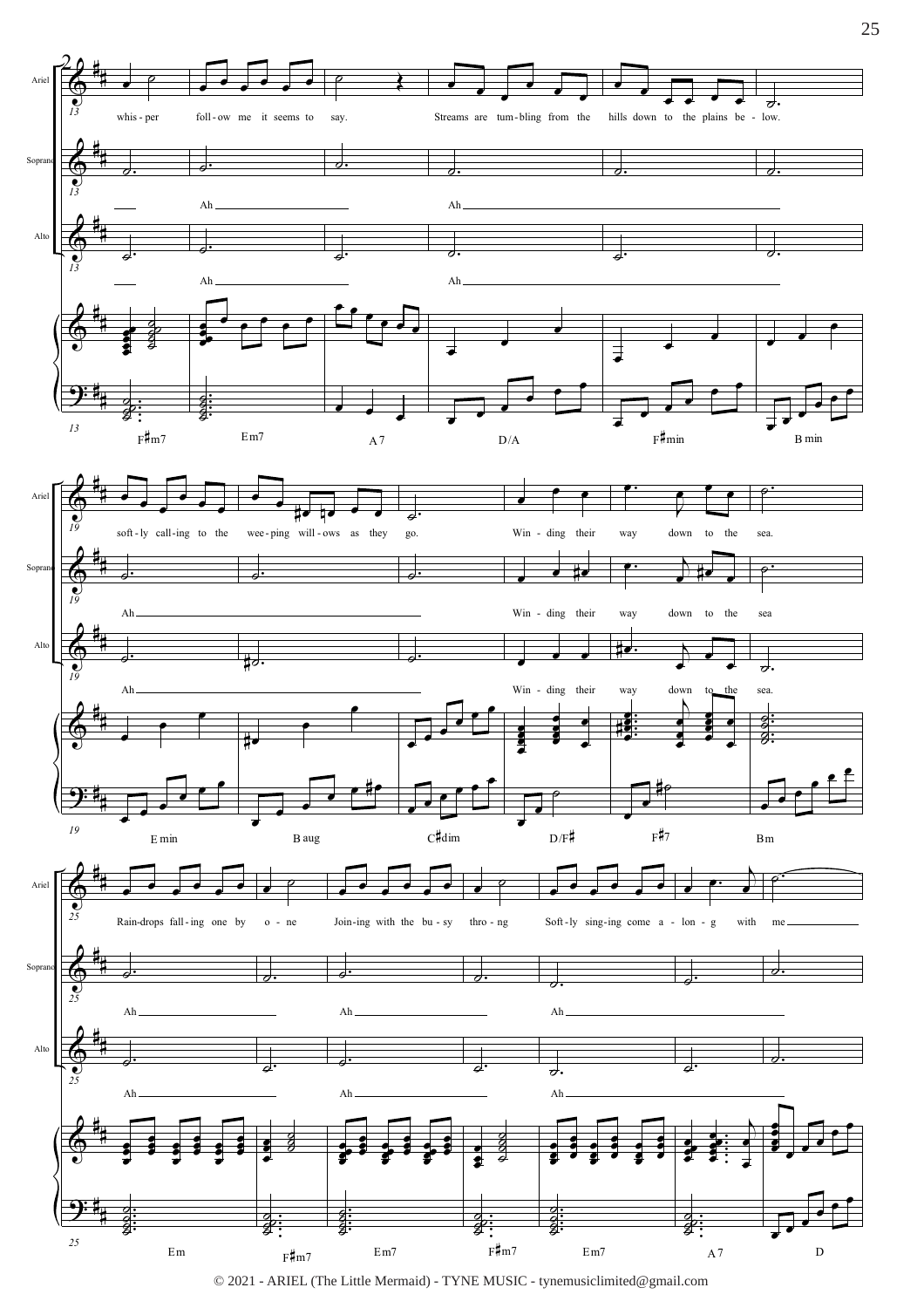

 $\copyright$  2021 - ARIEL (The Little Mermaid) - TYNE MUSIC - tynemusic<br>limited@gmail.com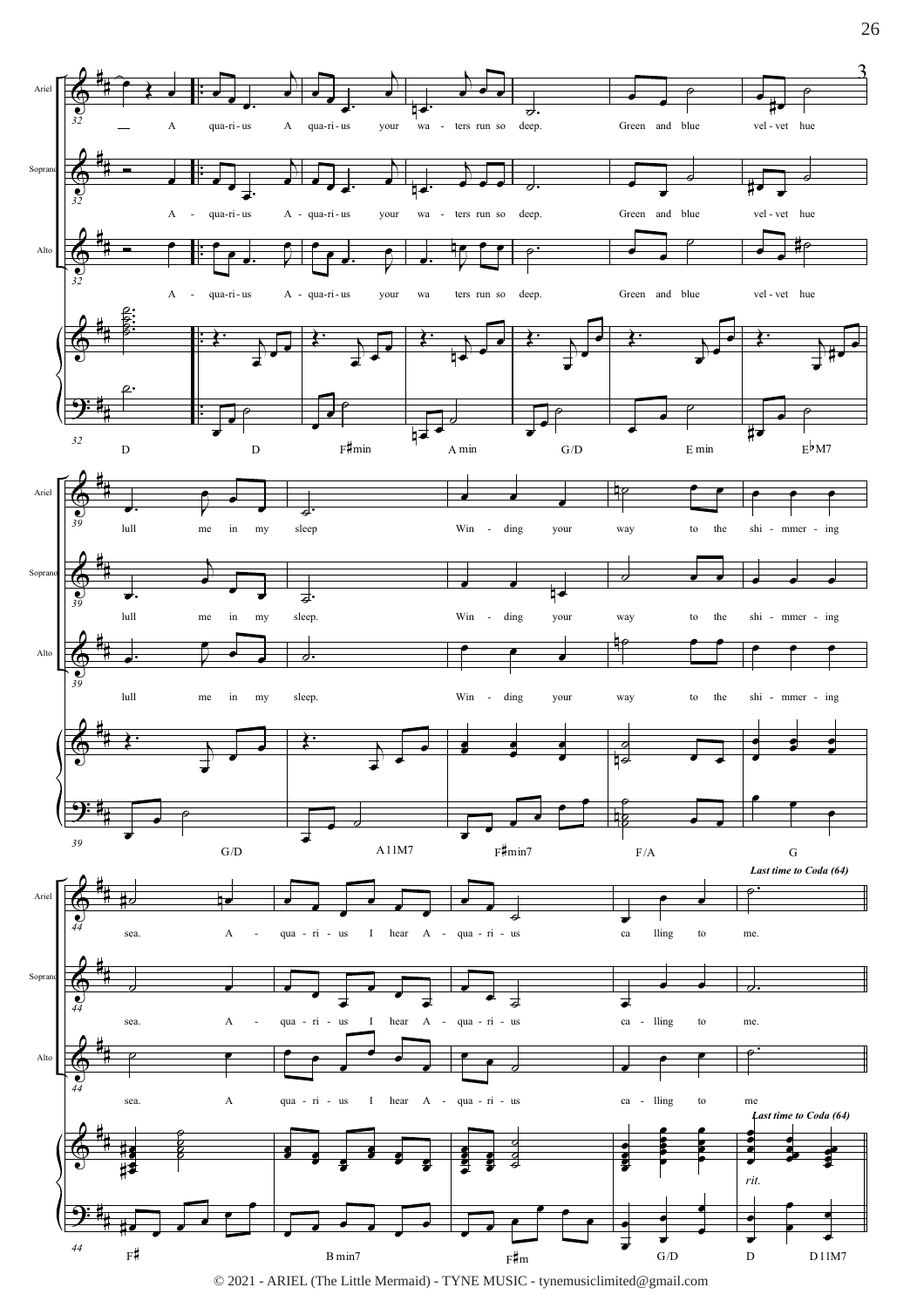

© 2021 - ARIEL (The Little Mermaid) - TYNE MUSIC - tynemusiclimited@gmail.com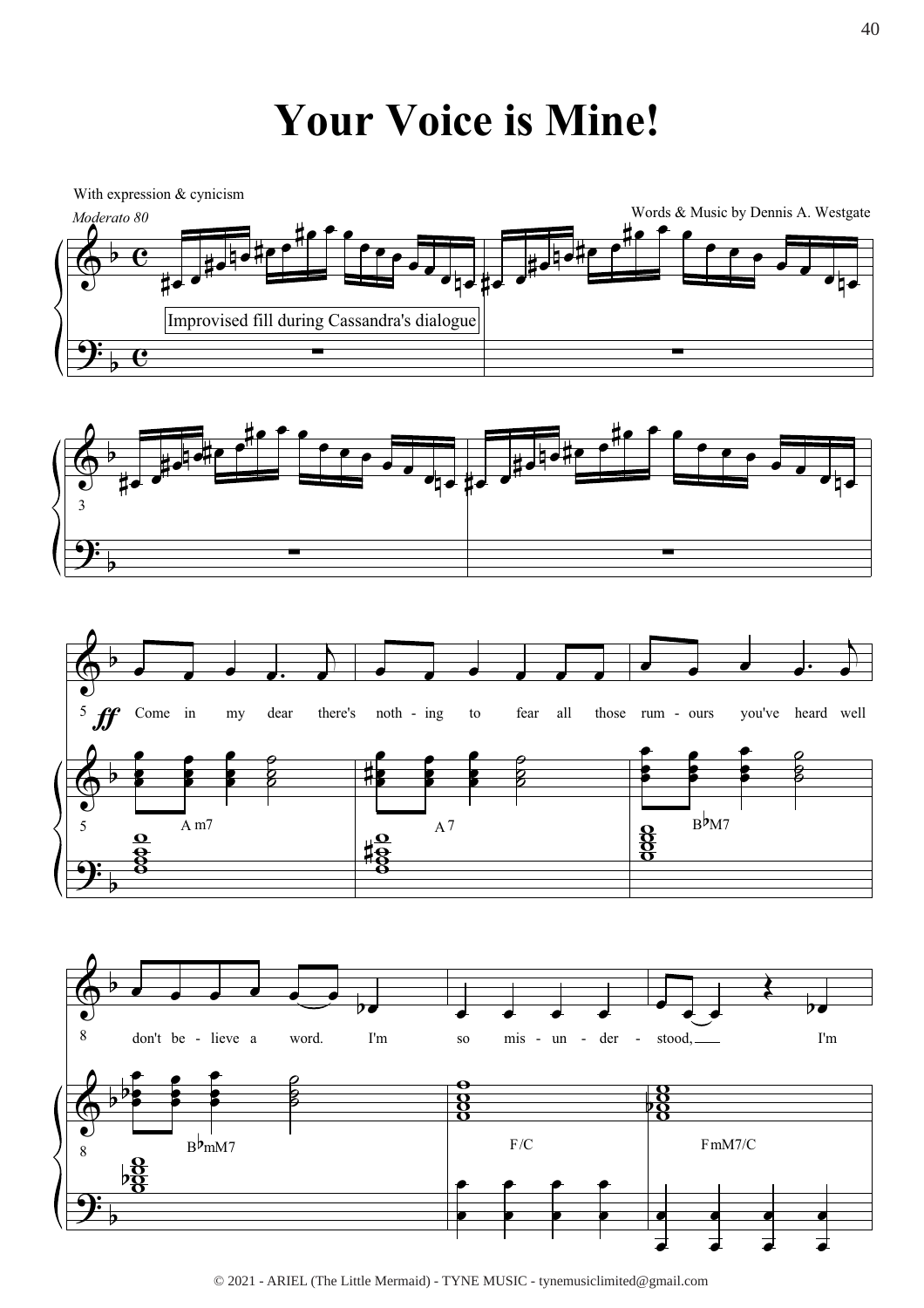## **Your Voice is Mine!**



<sup>© 2021 -</sup> ARIEL (The Little Mermaid) - TYNE MUSIC - tynemusiclimited@gmail.com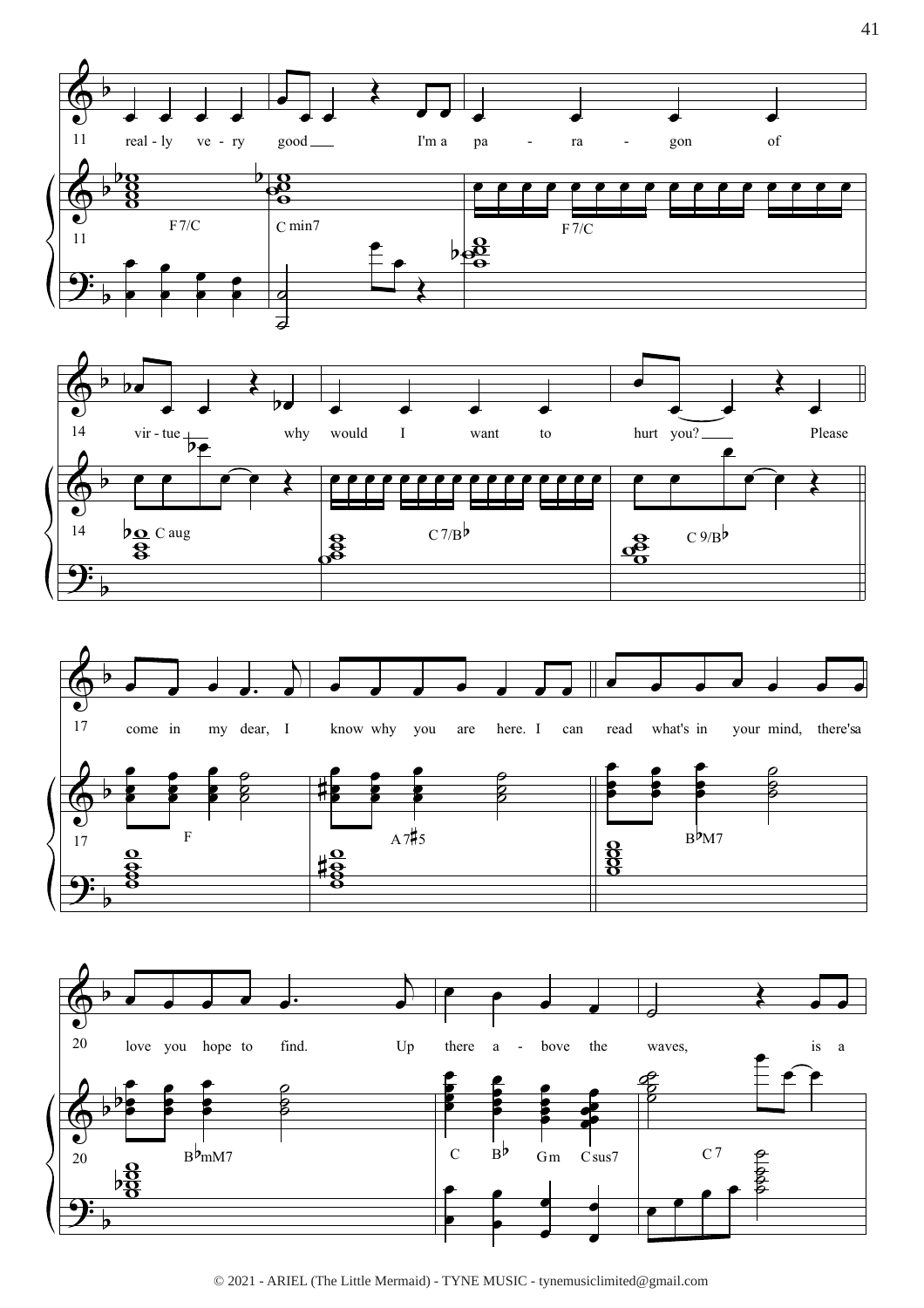







© 2021 - ARIEL (The Little Mermaid) - TYNE MUSIC - tynemusiclimited@gmail.com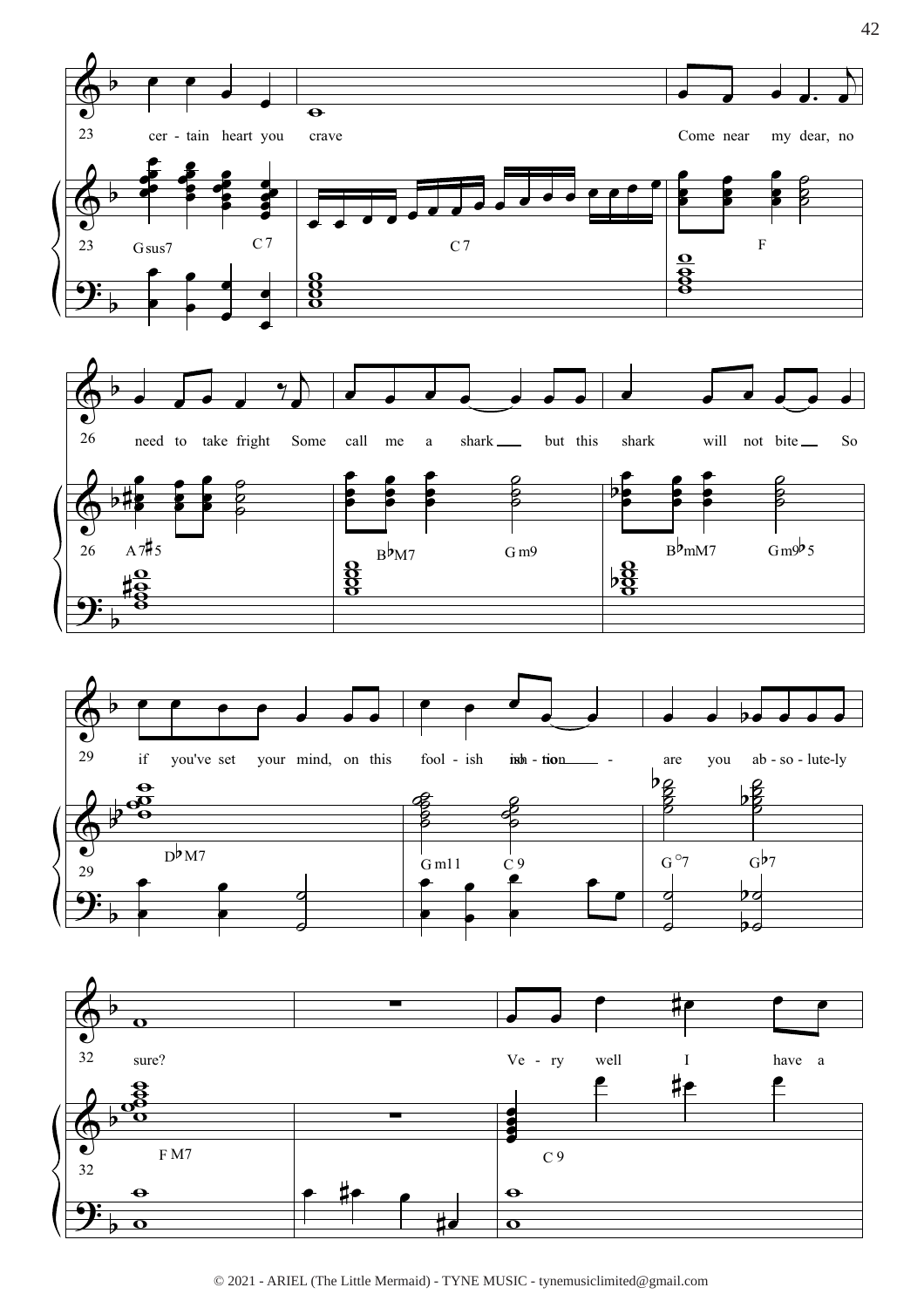

© 2021 - ARIEL (The Little Mermaid) - TYNE MUSIC - tynemusiclimited@gmail.com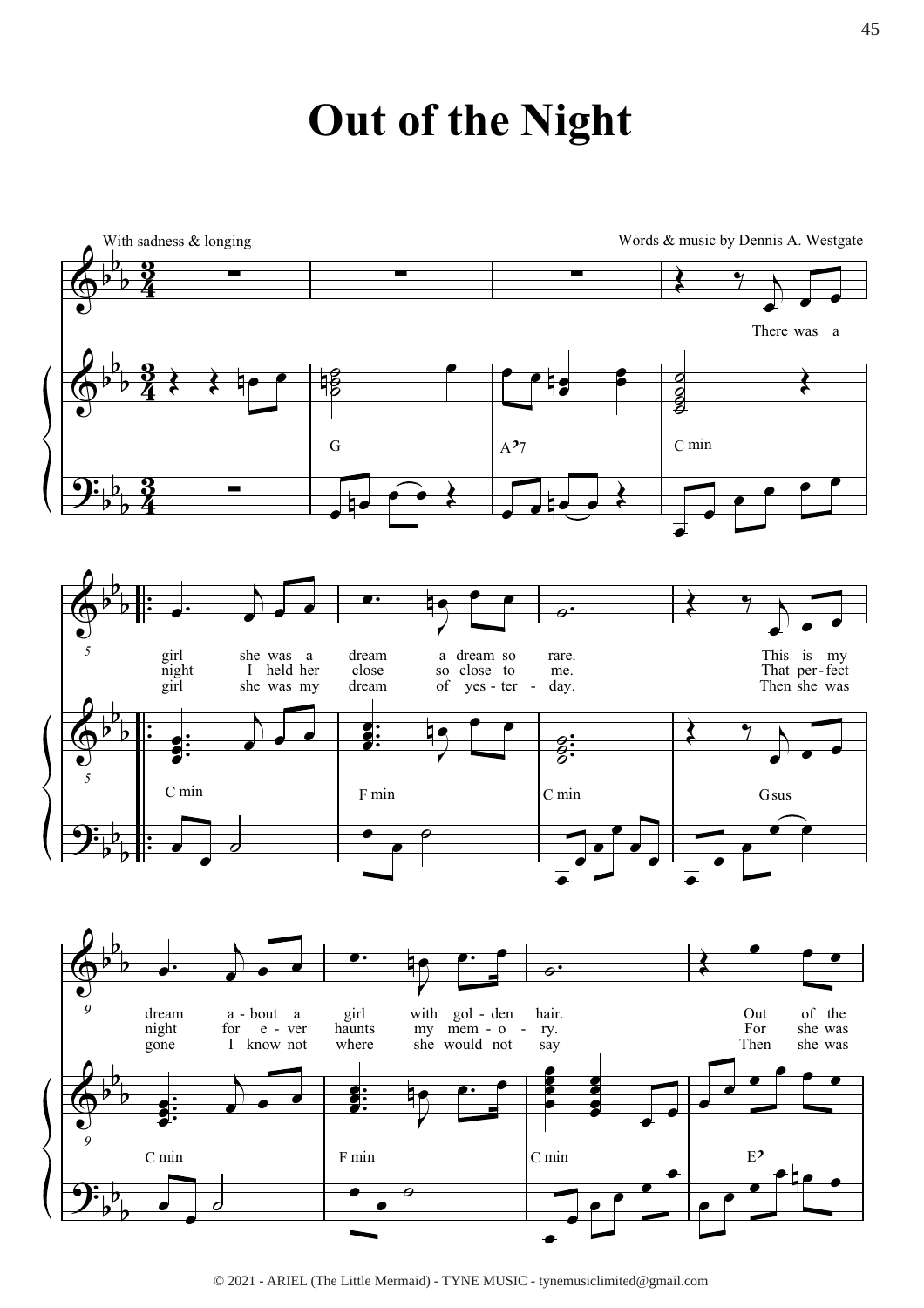## **Out of the Night**



<sup>© 2021 -</sup> ARIEL (The Little Mermaid) - TYNE MUSIC - tynemusiclimited@gmail.com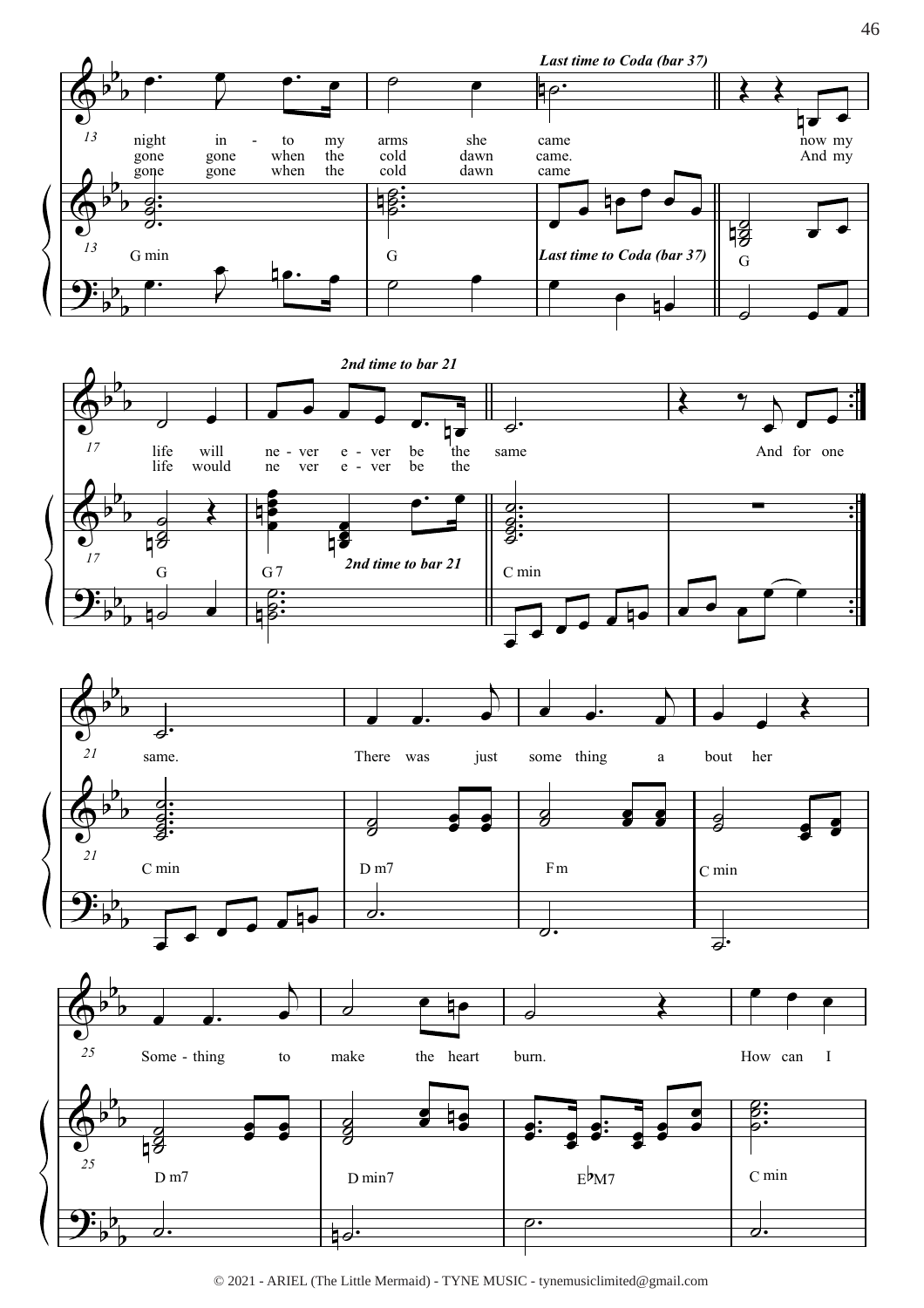







<sup>© 2021 -</sup> ARIEL (The Little Mermaid) - TYNE MUSIC - tynemusiclimited@gmail.com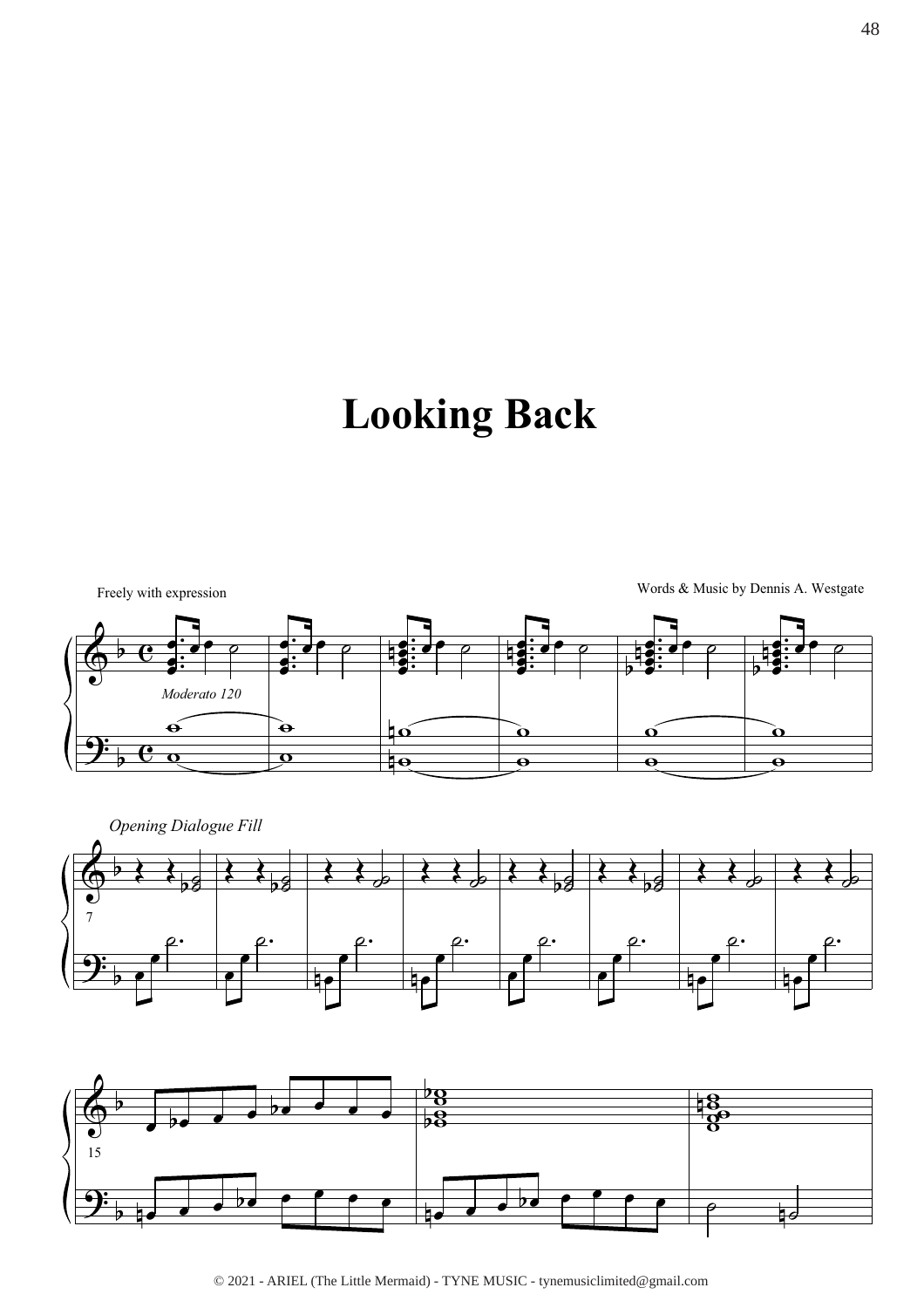# **Looking Back**





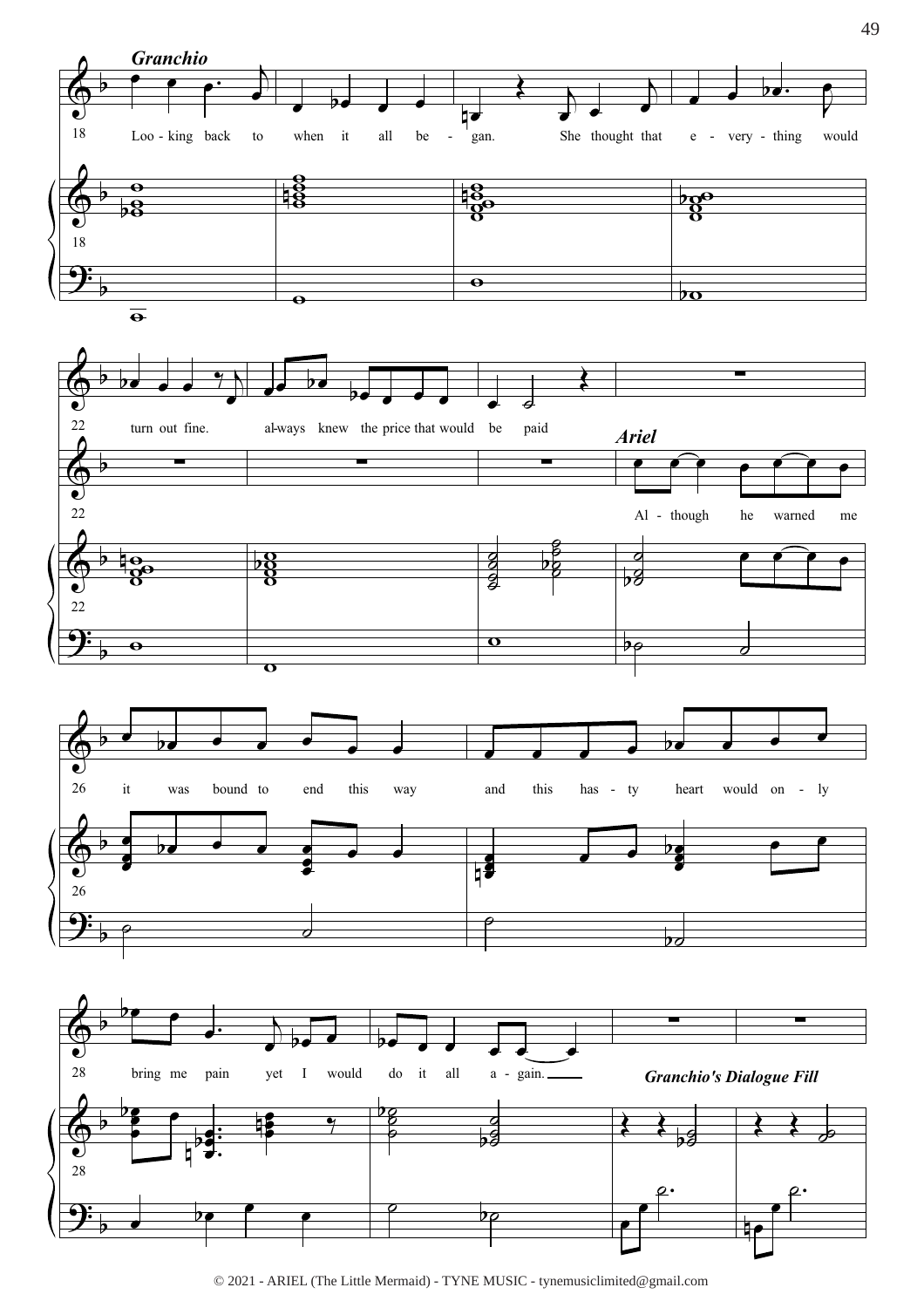

© 2021 - ARIEL (The Little Mermaid) - TYNE MUSIC - tynemusiclimited@gmail.com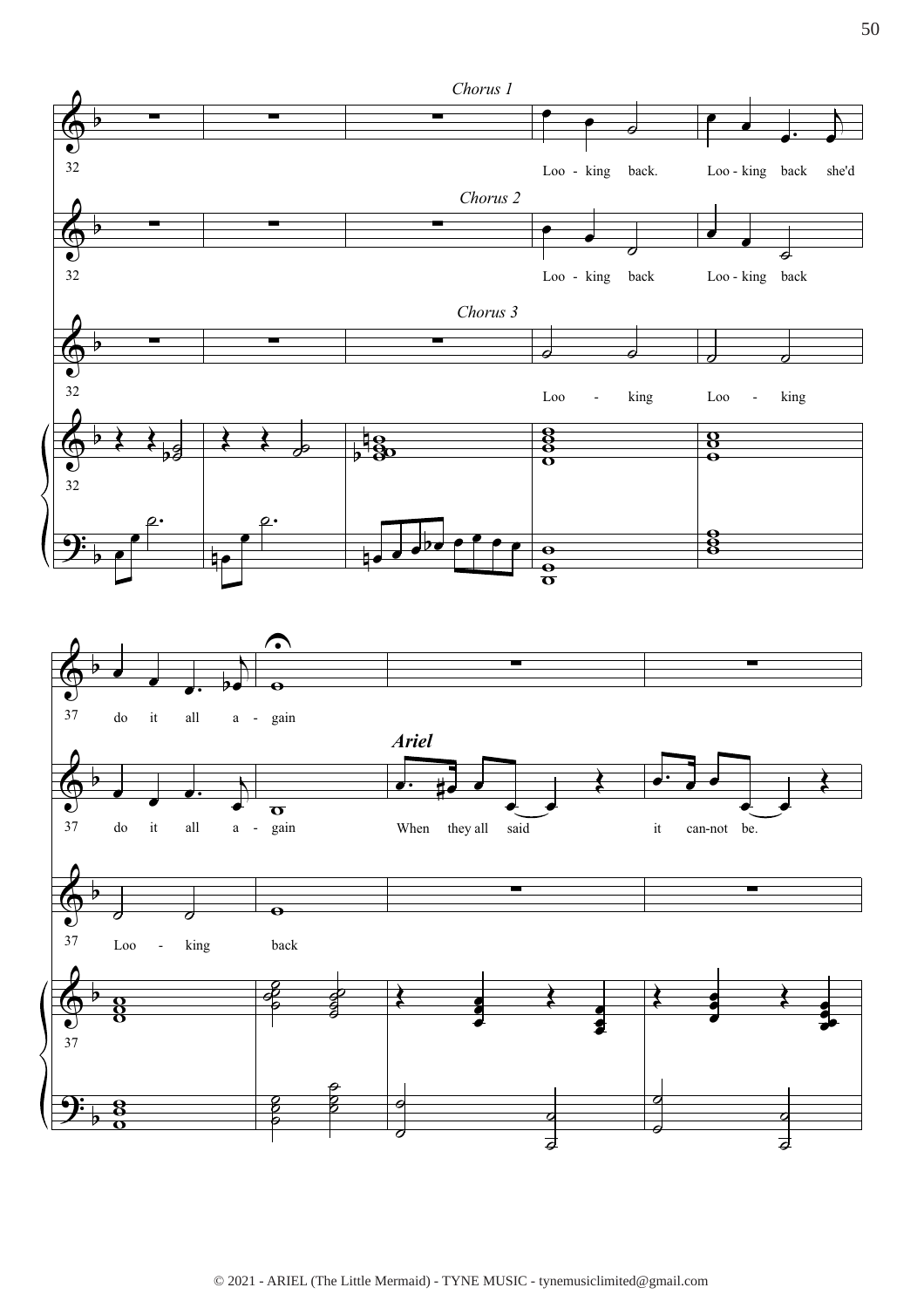